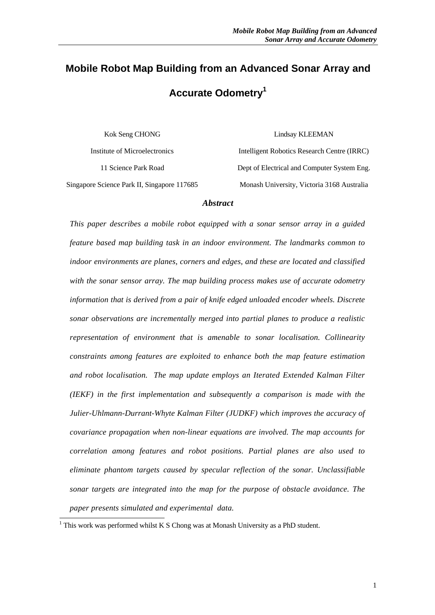# **Mobile Robot Map Building from an Advanced Sonar Array and Accurate Odometry<sup>1</sup>**

Kok Seng CHONG Institute of Microelectronics 11 Science Park Road Singapore Science Park II, Singapore 117685 Lindsay KLEEMAN

Intelligent Robotics Research Centre (IRRC) Dept of Electrical and Computer System Eng. Monash University, Victoria 3168 Australia

#### *Abstract*

*This paper describes a mobile robot equipped with a sonar sensor array in a guided feature based map building task in an indoor environment. The landmarks common to indoor environments are planes, corners and edges, and these are located and classified with the sonar sensor array. The map building process makes use of accurate odometry information that is derived from a pair of knife edged unloaded encoder wheels. Discrete sonar observations are incrementally merged into partial planes to produce a realistic representation of environment that is amenable to sonar localisation. Collinearity constraints among features are exploited to enhance both the map feature estimation and robot localisation. The map update employs an Iterated Extended Kalman Filter (IEKF) in the first implementation and subsequently a comparison is made with the Julier-Uhlmann-Durrant-Whyte Kalman Filter (JUDKF) which improves the accuracy of covariance propagation when non-linear equations are involved. The map accounts for correlation among features and robot positions. Partial planes are also used to eliminate phantom targets caused by specular reflection of the sonar. Unclassifiable sonar targets are integrated into the map for the purpose of obstacle avoidance. The paper presents simulated and experimental data.*

l

 $1$  This work was performed whilst K S Chong was at Monash University as a PhD student.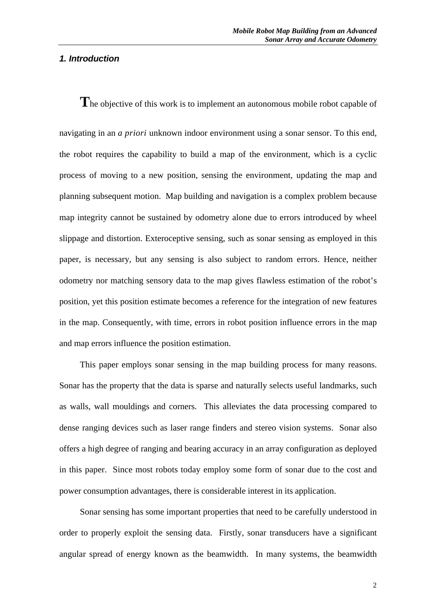# *1. Introduction*

**T**he objective of this work is to implement an autonomous mobile robot capable of navigating in an *a priori* unknown indoor environment using a sonar sensor. To this end, the robot requires the capability to build a map of the environment, which is a cyclic process of moving to a new position, sensing the environment, updating the map and planning subsequent motion. Map building and navigation is a complex problem because map integrity cannot be sustained by odometry alone due to errors introduced by wheel slippage and distortion. Exteroceptive sensing, such as sonar sensing as employed in this paper, is necessary, but any sensing is also subject to random errors. Hence, neither odometry nor matching sensory data to the map gives flawless estimation of the robot's position, yet this position estimate becomes a reference for the integration of new features in the map. Consequently, with time, errors in robot position influence errors in the map and map errors influence the position estimation.

This paper employs sonar sensing in the map building process for many reasons. Sonar has the property that the data is sparse and naturally selects useful landmarks, such as walls, wall mouldings and corners. This alleviates the data processing compared to dense ranging devices such as laser range finders and stereo vision systems. Sonar also offers a high degree of ranging and bearing accuracy in an array configuration as deployed in this paper. Since most robots today employ some form of sonar due to the cost and power consumption advantages, there is considerable interest in its application.

Sonar sensing has some important properties that need to be carefully understood in order to properly exploit the sensing data. Firstly, sonar transducers have a significant angular spread of energy known as the beamwidth. In many systems, the beamwidth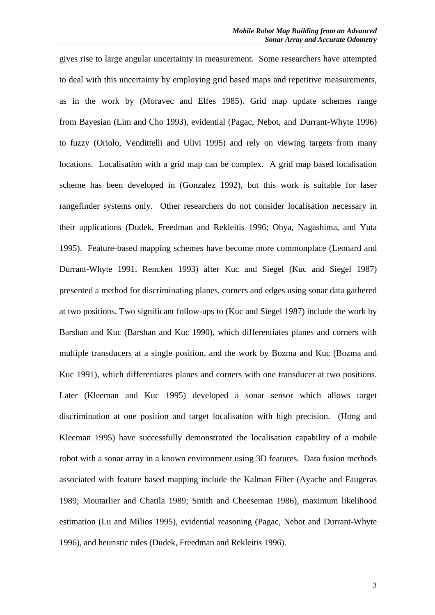gives rise to large angular uncertainty in measurement. Some researchers have attempted to deal with this uncertainty by employing grid based maps and repetitive measurements, as in the work by (Moravec and Elfes 1985). Grid map update schemes range from Bayesian (Lim and Cho 1993), evidential (Pagac, Nebot, and Durrant-Whyte 1996) to fuzzy (Oriolo, Vendittelli and Ulivi 1995) and rely on viewing targets from many locations. Localisation with a grid map can be complex. A grid map based localisation scheme has been developed in (Gonzalez 1992), but this work is suitable for laser rangefinder systems only. Other researchers do not consider localisation necessary in their applications (Dudek, Freedman and Rekleitis 1996; Ohya, Nagashima, and Yuta 1995). Feature-based mapping schemes have become more commonplace (Leonard and Durrant-Whyte 1991, Rencken 1993) after Kuc and Siegel (Kuc and Siegel 1987) presented a method for discriminating planes, corners and edges using sonar data gathered at two positions. Two significant follow-ups to (Kuc and Siegel 1987) include the work by Barshan and Kuc (Barshan and Kuc 1990), which differentiates planes and corners with multiple transducers at a single position, and the work by Bozma and Kuc (Bozma and Kuc 1991), which differentiates planes and corners with one transducer at two positions. Later (Kleeman and Kuc 1995) developed a sonar sensor which allows target discrimination at one position and target localisation with high precision. (Hong and Kleeman 1995) have successfully demonstrated the localisation capability of a mobile robot with a sonar array in a known environment using 3D features. Data fusion methods associated with feature based mapping include the Kalman Filter (Ayache and Faugeras 1989; Moutarlier and Chatila 1989; Smith and Cheeseman 1986), maximum likelihood estimation (Lu and Milios 1995), evidential reasoning (Pagac, Nebot and Durrant-Whyte 1996), and heuristic rules (Dudek, Freedman and Rekleitis 1996).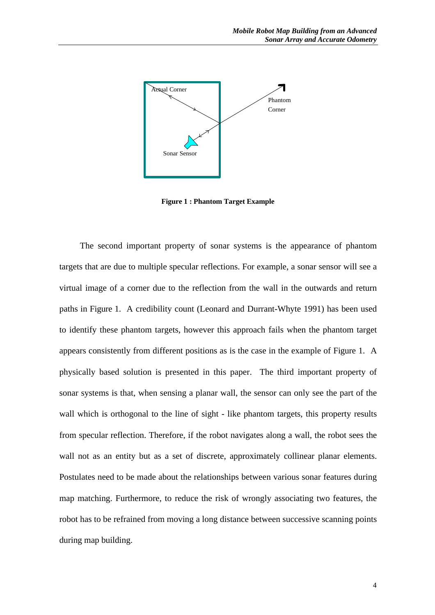

**Figure 1 : Phantom Target Example**

The second important property of sonar systems is the appearance of phantom targets that are due to multiple specular reflections. For example, a sonar sensor will see a virtual image of a corner due to the reflection from the wall in the outwards and return paths in Figure 1. A credibility count (Leonard and Durrant-Whyte 1991) has been used to identify these phantom targets, however this approach fails when the phantom target appears consistently from different positions as is the case in the example of Figure 1. A physically based solution is presented in this paper. The third important property of sonar systems is that, when sensing a planar wall, the sensor can only see the part of the wall which is orthogonal to the line of sight - like phantom targets, this property results from specular reflection. Therefore, if the robot navigates along a wall, the robot sees the wall not as an entity but as a set of discrete, approximately collinear planar elements. Postulates need to be made about the relationships between various sonar features during map matching. Furthermore, to reduce the risk of wrongly associating two features, the robot has to be refrained from moving a long distance between successive scanning points during map building.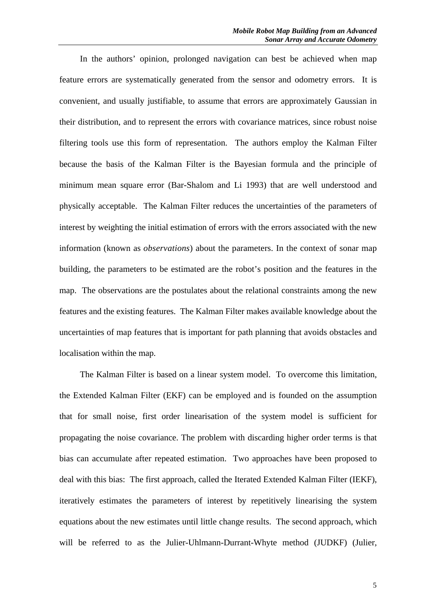In the authors' opinion, prolonged navigation can best be achieved when map feature errors are systematically generated from the sensor and odometry errors. It is convenient, and usually justifiable, to assume that errors are approximately Gaussian in their distribution, and to represent the errors with covariance matrices, since robust noise filtering tools use this form of representation. The authors employ the Kalman Filter because the basis of the Kalman Filter is the Bayesian formula and the principle of minimum mean square error (Bar-Shalom and Li 1993) that are well understood and physically acceptable. The Kalman Filter reduces the uncertainties of the parameters of interest by weighting the initial estimation of errors with the errors associated with the new information (known as *observations*) about the parameters. In the context of sonar map building, the parameters to be estimated are the robot's position and the features in the map. The observations are the postulates about the relational constraints among the new features and the existing features. The Kalman Filter makes available knowledge about the uncertainties of map features that is important for path planning that avoids obstacles and localisation within the map.

The Kalman Filter is based on a linear system model. To overcome this limitation, the Extended Kalman Filter (EKF) can be employed and is founded on the assumption that for small noise, first order linearisation of the system model is sufficient for propagating the noise covariance. The problem with discarding higher order terms is that bias can accumulate after repeated estimation. Two approaches have been proposed to deal with this bias: The first approach, called the Iterated Extended Kalman Filter (IEKF), iteratively estimates the parameters of interest by repetitively linearising the system equations about the new estimates until little change results. The second approach, which will be referred to as the Julier-Uhlmann-Durrant-Whyte method (JUDKF) (Julier,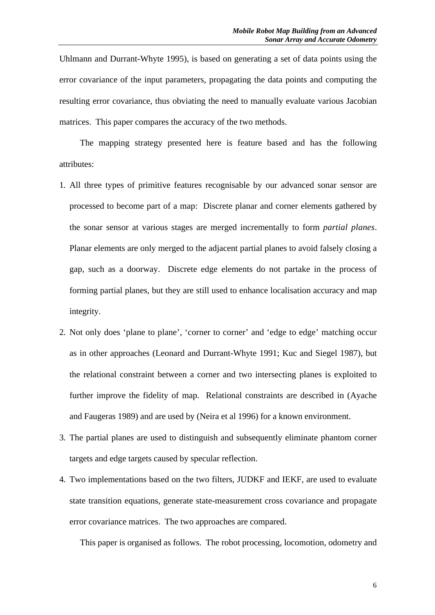Uhlmann and Durrant-Whyte 1995), is based on generating a set of data points using the error covariance of the input parameters, propagating the data points and computing the resulting error covariance, thus obviating the need to manually evaluate various Jacobian matrices. This paper compares the accuracy of the two methods.

The mapping strategy presented here is feature based and has the following attributes:

- 1. All three types of primitive features recognisable by our advanced sonar sensor are processed to become part of a map: Discrete planar and corner elements gathered by the sonar sensor at various stages are merged incrementally to form *partial planes*. Planar elements are only merged to the adjacent partial planes to avoid falsely closing a gap, such as a doorway. Discrete edge elements do not partake in the process of forming partial planes, but they are still used to enhance localisation accuracy and map integrity.
- 2. Not only does 'plane to plane', 'corner to corner' and 'edge to edge' matching occur as in other approaches (Leonard and Durrant-Whyte 1991; Kuc and Siegel 1987), but the relational constraint between a corner and two intersecting planes is exploited to further improve the fidelity of map. Relational constraints are described in (Ayache and Faugeras 1989) and are used by (Neira et al 1996) for a known environment.
- 3. The partial planes are used to distinguish and subsequently eliminate phantom corner targets and edge targets caused by specular reflection.
- 4. Two implementations based on the two filters, JUDKF and IEKF, are used to evaluate state transition equations, generate state-measurement cross covariance and propagate error covariance matrices. The two approaches are compared.

This paper is organised as follows. The robot processing, locomotion, odometry and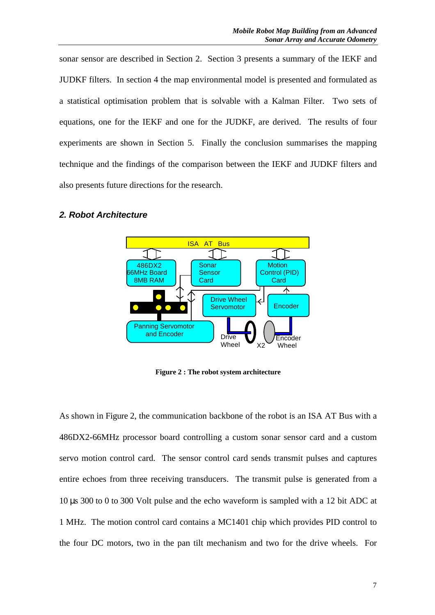sonar sensor are described in Section 2. Section 3 presents a summary of the IEKF and JUDKF filters. In section 4 the map environmental model is presented and formulated as a statistical optimisation problem that is solvable with a Kalman Filter. Two sets of equations, one for the IEKF and one for the JUDKF, are derived. The results of four experiments are shown in Section 5. Finally the conclusion summarises the mapping technique and the findings of the comparison between the IEKF and JUDKF filters and also presents future directions for the research.

#### *2. Robot Architecture*



**Figure 2 : The robot system architecture**

As shown in Figure 2, the communication backbone of the robot is an ISA AT Bus with a 486DX2-66MHz processor board controlling a custom sonar sensor card and a custom servo motion control card. The sensor control card sends transmit pulses and captures entire echoes from three receiving transducers. The transmit pulse is generated from a 10 μs 300 to 0 to 300 Volt pulse and the echo waveform is sampled with a 12 bit ADC at 1 MHz. The motion control card contains a MC1401 chip which provides PID control to the four DC motors, two in the pan tilt mechanism and two for the drive wheels. For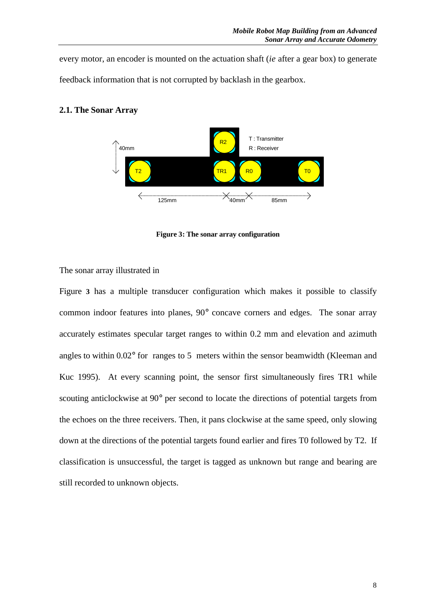every motor, an encoder is mounted on the actuation shaft (*ie* after a gear box) to generate feedback information that is not corrupted by backlash in the gearbox.



# **2.1. The Sonar Array**



The sonar array illustrated in

Figure **3** has a multiple transducer configuration which makes it possible to classify common indoor features into planes, 90° concave corners and edges. The sonar array accurately estimates specular target ranges to within 0.2 mm and elevation and azimuth angles to within 0.02° for ranges to 5 meters within the sensor beamwidth (Kleeman and Kuc 1995). At every scanning point, the sensor first simultaneously fires TR1 while scouting anticlockwise at 90° per second to locate the directions of potential targets from the echoes on the three receivers. Then, it pans clockwise at the same speed, only slowing down at the directions of the potential targets found earlier and fires T0 followed by T2. If classification is unsuccessful, the target is tagged as unknown but range and bearing are still recorded to unknown objects.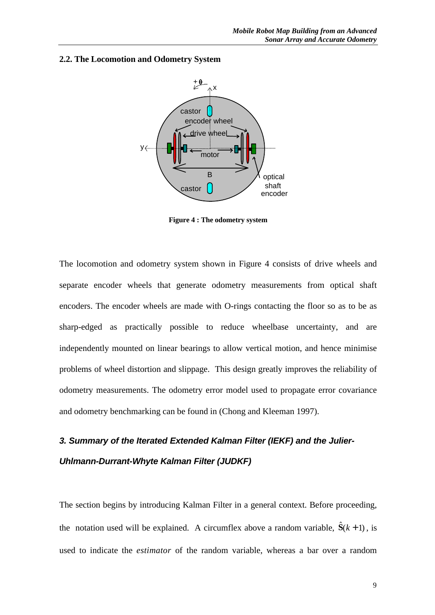#### **2.2. The Locomotion and Odometry System**



**Figure 4 : The odometry system**

The locomotion and odometry system shown in Figure 4 consists of drive wheels and separate encoder wheels that generate odometry measurements from optical shaft encoders. The encoder wheels are made with O-rings contacting the floor so as to be as sharp-edged as practically possible to reduce wheelbase uncertainty, and are independently mounted on linear bearings to allow vertical motion, and hence minimise problems of wheel distortion and slippage. This design greatly improves the reliability of odometry measurements. The odometry error model used to propagate error covariance and odometry benchmarking can be found in (Chong and Kleeman 1997).

# *3. Summary of the Iterated Extended Kalman Filter (IEKF) and the Julier-Uhlmann-Durrant-Whyte Kalman Filter (JUDKF)*

The section begins by introducing Kalman Filter in a general context. Before proceeding, the notation used will be explained. A circumflex above a random variable,  $\hat{S}(k+1)$ , is used to indicate the *estimator* of the random variable, whereas a bar over a random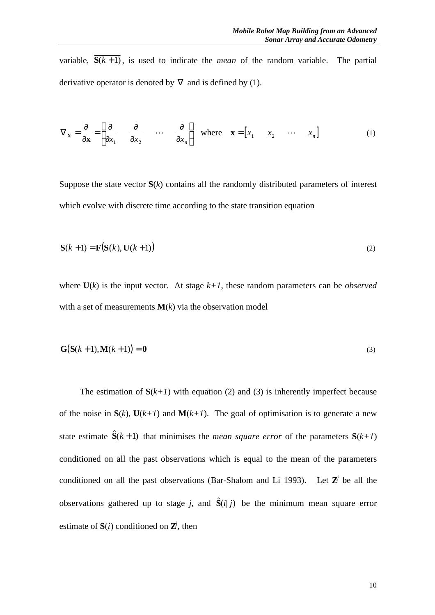variable,  $\overline{S(k+1)}$ , is used to indicate the *mean* of the random variable. The partial derivative operator is denoted by  $\nabla$  and is defined by (1).

$$
\nabla_{\mathbf{x}} = \frac{\mathbf{I}}{\mathbf{J}\mathbf{x}} = \begin{bmatrix} \frac{\mathbf{I}}{\mathbf{J}} & \frac{\mathbf{I}}{\mathbf{J}} & \dots & \frac{\mathbf{I}}{\mathbf{J}} \\ \frac{\mathbf{I}}{\mathbf{J}} & \frac{\mathbf{I}}{\mathbf{J}} & \dots & \frac{\mathbf{I}}{\mathbf{J}} \end{bmatrix} \text{ where } \mathbf{x} = \begin{bmatrix} x_1 & x_2 & \dots & x_n \end{bmatrix} \tag{1}
$$

Suppose the state vector **S**(*k*) contains all the randomly distributed parameters of interest which evolve with discrete time according to the state transition equation

$$
\mathbf{S}(k+1) = \mathbf{F}(\mathbf{S}(k), \mathbf{U}(k+1))
$$
\n(2)

where  $U(k)$  is the input vector. At stage  $k+1$ , these random parameters can be *observed* with a set of measurements  $M(k)$  via the observation model

$$
\mathbf{G}(\mathbf{S}(k+1), \mathbf{M}(k+1)) = \mathbf{0} \tag{3}
$$

The estimation of  $S(k+1)$  with equation (2) and (3) is inherently imperfect because of the noise in  $S(k)$ ,  $U(k+1)$  and  $M(k+1)$ . The goal of optimisation is to generate a new state estimate  $\hat{S}(k+1)$  that minimises the *mean square error* of the parameters  $S(k+1)$ conditioned on all the past observations which is equal to the mean of the parameters conditioned on all the past observations (Bar-Shalom and Li 1993). Let  $Z^j$  be all the observations gathered up to stage *j*, and  $\hat{S}(i|j)$  be the minimum mean square error estimate of  $S(i)$  conditioned on  $Z^j$ , then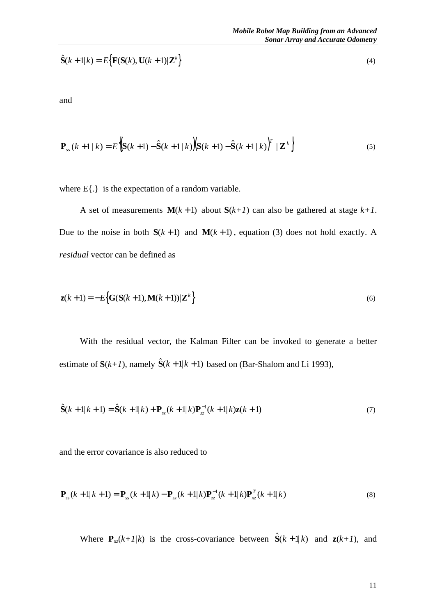$$
\hat{\mathbf{S}}(k+1|k) = E\big\{\mathbf{F}(\mathbf{S}(k), \mathbf{U}(k+1)|\mathbf{Z}^k)\big\}
$$
\n(4)

and

$$
\mathbf{P}_{ss}(k+1|k) = E\left[\mathbf{S}(k+1) - \hat{\mathbf{S}}(k+1|k)\right] \mathbf{S}(k+1) - \hat{\mathbf{S}}(k+1|k)\right]^T |\mathbf{Z}^k \tag{5}
$$

where E{.} is the expectation of a random variable.

A set of measurements  $M(k+1)$  about  $S(k+1)$  can also be gathered at stage  $k+1$ . Due to the noise in both  $S(k + 1)$  and  $M(k + 1)$ , equation (3) does not hold exactly. A *residual* vector can be defined as

$$
\mathbf{z}(k+1) = -E\Big\{ \mathbf{G}(\mathbf{S}(k+1), \mathbf{M}(k+1)) | \mathbf{Z}^k \Big\}
$$
(6)

With the residual vector, the Kalman Filter can be invoked to generate a better estimate of  $S(k+1)$ , namely  $\hat{S}(k+1|k+1)$  based on (Bar-Shalom and Li 1993),

$$
\hat{\mathbf{S}}(k+1|k+1) = \hat{\mathbf{S}}(k+1|k) + \mathbf{P}_{sz}(k+1|k)\mathbf{P}_{zz}^{-1}(k+1|k)\mathbf{z}(k+1)
$$
\n(7)

and the error covariance is also reduced to

$$
\mathbf{P}_{ss}(k+1|k+1) = \mathbf{P}_{ss}(k+1|k) - \mathbf{P}_{sz}(k+1|k)\mathbf{P}_{zz}^{-1}(k+1|k)\mathbf{P}_{xz}^{T}(k+1|k)
$$
\n(8)

Where  $\mathbf{P}_{sz}(k+1/k)$  is the cross-covariance between  $\hat{\mathbf{S}}(k+1|k)$  and  $\mathbf{z}(k+1)$ , and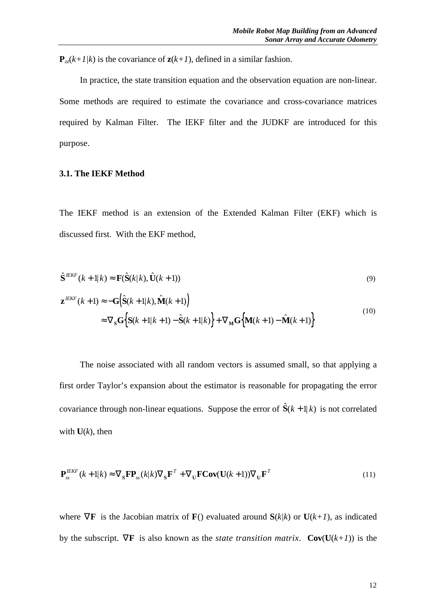${\bf P}_{z}$  $(k+1/k)$  is the covariance of  ${\bf z}(k+1)$ , defined in a similar fashion.

In practice, the state transition equation and the observation equation are non-linear. Some methods are required to estimate the covariance and cross-covariance matrices required by Kalman Filter. The IEKF filter and the JUDKF are introduced for this purpose.

#### **3.1. The IEKF Method**

The IEKF method is an extension of the Extended Kalman Filter (EKF) which is discussed first. With the EKF method,

$$
\hat{\mathbf{S}}^{IEKF}(k+1|k) \approx \mathbf{F}(\hat{\mathbf{S}}(k|k), \hat{\mathbf{U}}(k+1))
$$
\n(9)

$$
\mathbf{z}^{IEKF}(k+1) \approx -\mathbf{G} \Big( \hat{\mathbf{S}}(k+1|k), \hat{\mathbf{M}}(k+1) \Big) \n\approx \nabla_{\mathbf{S}} \mathbf{G} \Big\{ \mathbf{S}(k+1|k+1) - \hat{\mathbf{S}}(k+1|k) \Big\} + \nabla_{\mathbf{M}} \mathbf{G} \Big\{ \mathbf{M}(k+1) - \hat{\mathbf{M}}(k+1) \Big\}
$$
\n(10)

The noise associated with all random vectors is assumed small, so that applying a first order Taylor's expansion about the estimator is reasonable for propagating the error covariance through non-linear equations. Suppose the error of  $\hat{S}(k+1|k)$  is not correlated with  $U(k)$ , then

$$
\mathbf{P}_{ss}^{IEKF}(k+1|k) \approx \nabla_{\mathbf{S}} \mathbf{F} \mathbf{P}_{ss}(k|k) \nabla_{\mathbf{S}} \mathbf{F}^T + \nabla_{\mathbf{U}} \mathbf{F} \mathbf{Cov}(\mathbf{U}(k+1)) \nabla_{\mathbf{U}} \mathbf{F}^T
$$
\n(11)

where  $\nabla \mathbf{F}$  is the Jacobian matrix of **F**() evaluated around  $\mathbf{S}(k/k)$  or  $\mathbf{U}(k+1)$ , as indicated by the subscript.  $\nabla \mathbf{F}$  is also known as the *state transition matrix*.  $\mathbf{Cov}(\mathbf{U}(k+1))$  is the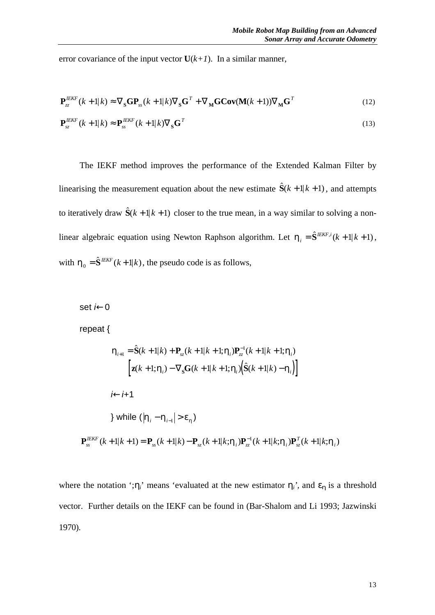error covariance of the input vector  $U(k+1)$ . In a similar manner,

$$
\mathbf{P}_{zz}^{IEKF}(k+1|k) \approx \nabla_{\mathbf{S}} \mathbf{G} \mathbf{P}_{ss}(k+1|k) \nabla_{\mathbf{S}} \mathbf{G}^T + \nabla_{\mathbf{M}} \mathbf{G} \mathbf{Cov}(\mathbf{M}(k+1)) \nabla_{\mathbf{M}} \mathbf{G}^T
$$
\n(12)

$$
\mathbf{P}_{sz}^{I E K F} (k+1|k) \approx \mathbf{P}_{ss}^{I E K F} (k+1|k) \nabla_{\mathbf{S}} \mathbf{G}^T
$$
\n(13)

The IEKF method improves the performance of the Extended Kalman Filter by linearising the measurement equation about the new estimate  $\hat{S}(k+1|k+1)$ , and attempts to iteratively draw  $\hat{S}(k + 1|k + 1)$  closer to the true mean, in a way similar to solving a nonlinear algebraic equation using Newton Raphson algorithm. Let  $h_i = \hat{S}^{IEKF,i}(k+1|k+1)$ , with  $\mathbf{h}_0 = \hat{\mathbf{S}}^{IEKF}(k+1|k)$ , the pseudo code is as follows,

set *i*←0

repeat {

$$
\mathbf{h}_{i+1} = \hat{\mathbf{S}}(k+1|k) + \mathbf{P}_{sz}(k+1|k+1; \mathbf{h}_{i})\mathbf{P}_{zz}^{-1}(k+1|k+1; \mathbf{h}_{i})
$$
\n
$$
\begin{bmatrix}\n\mathbf{z}(k+1; \mathbf{h}_{i}) - \nabla_{s}\mathbf{G}(k+1|k+1; \mathbf{h}_{i})\big(\hat{\mathbf{S}}(k+1|k) - \mathbf{h}_{i}\big)\n\end{bmatrix}
$$
\n
$$
i \leftarrow i+1
$$
\n} while \n
$$
|\mathbf{h}_{i} - \mathbf{h}_{i-1}| > \mathbf{e}_{h}
$$
\n
$$
\mathbf{P}_{ss}^{IEKF}(k+1|k+1) = \mathbf{P}_{ss}(k+1|k) - \mathbf{P}_{sz}(k+1|k; \mathbf{h}_{i})\mathbf{P}_{zz}^{-1}(k+1|k; \mathbf{h}_{i})\mathbf{P}_{sz}^{T}(k+1|k; \mathbf{h}_{i})
$$

where the notation '; $h_i$ <sup>'</sup> means 'evaluated at the new estimator  $h_i$ <sup>'</sup>, and  $e_h$  is a threshold vector. Further details on the IEKF can be found in (Bar-Shalom and Li 1993; Jazwinski 1970).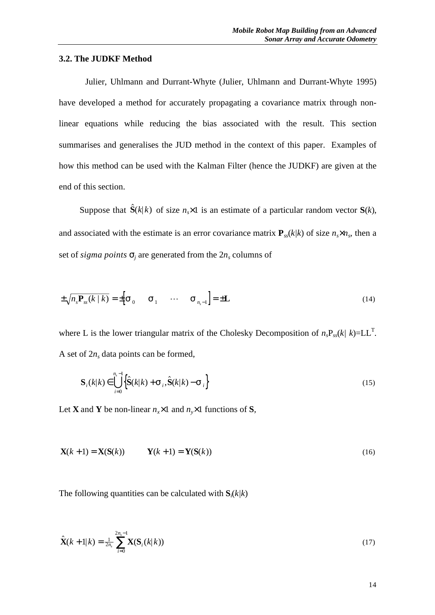#### **3.2. The JUDKF Method**

Julier, Uhlmann and Durrant-Whyte (Julier, Uhlmann and Durrant-Whyte 1995) have developed a method for accurately propagating a covariance matrix through nonlinear equations while reducing the bias associated with the result. This section summarises and generalises the JUD method in the context of this paper. Examples of how this method can be used with the Kalman Filter (hence the JUDKF) are given at the end of this section.

Suppose that  $\hat{S}(k|k)$  of size  $n \times 1$  is an estimate of a particular random vector  $S(k)$ , and associated with the estimate is an error covariance matrix  $P_{ss}(k/k)$  of size  $n_s \times n_s$ , then a set of *sigma points*  $\mathbf{s}_j$  are generated from the  $2n_s$  columns of

$$
\pm \sqrt{n_s \mathbf{P}_{ss}(k \mid k)} = \pm \Big[ \mathbf{S}_0 \qquad \mathbf{S}_1 \qquad \cdots \qquad \mathbf{S}_{n_s-1} \Big] = \pm \mathbf{L}
$$
 (14)

where L is the lower triangular matrix of the Cholesky Decomposition of  $n_s P_{ss}(k / k) = LL^T$ . A set of  $2n_s$  data points can be formed,

$$
\mathbf{S}_{i}(k|k) \in \bigcup_{i=0}^{n_{s}-1} \left\{ \hat{\mathbf{S}}(k|k) + \mathbf{S}_{i}, \hat{\mathbf{S}}(k|k) - \mathbf{S}_{i} \right\}
$$
\n(15)

Let **X** and **Y** be non-linear  $n_x \times 1$  and  $n_y \times 1$  functions of **S***,* 

$$
\mathbf{X}(k+1) = \mathbf{X}(\mathbf{S}(k)) \qquad \mathbf{Y}(k+1) = \mathbf{Y}(\mathbf{S}(k)) \tag{16}
$$

The following quantities can be calculated with  $S_i(k/k)$ 

$$
\hat{\mathbf{X}}(k+1|k) = \frac{1}{2n_s} \sum_{i=0}^{2n_s-1} \mathbf{X}(\mathbf{S}_i(k|k))
$$
\n(17)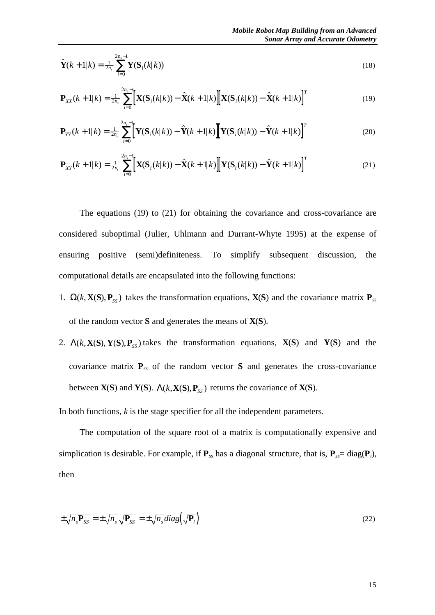$$
\hat{\mathbf{Y}}(k+1|k) = \frac{1}{2n_s} \sum_{i=0}^{2n_s-1} \mathbf{Y}(\mathbf{S}_i(k|k))
$$
\n(18)

$$
\mathbf{P}_{XX}(k+1|k) = \frac{1}{2n_s} \sum_{i=0}^{2n_s-1} \left[ \mathbf{X}(\mathbf{S}_i(k|k)) - \hat{\mathbf{X}}(k+1|k) \right] \left[ \mathbf{X}(\mathbf{S}_i(k|k)) - \hat{\mathbf{X}}(k+1|k) \right]^T
$$
(19)

$$
\mathbf{P}_{YY}(k+1|k) = \frac{1}{2n_s} \sum_{i=0}^{2n_s-1} \left[ \mathbf{Y}(\mathbf{S}_i(k|k)) - \hat{\mathbf{Y}}(k+1|k) \right] \left[ \mathbf{Y}(\mathbf{S}_i(k|k)) - \hat{\mathbf{Y}}(k+1|k) \right]^T
$$
(20)

$$
\mathbf{P}_{XY}(k+1|k) = \frac{1}{2n_s} \sum_{i=0}^{2n_s-1} \left[ \mathbf{X}(\mathbf{S}_i(k|k)) - \hat{\mathbf{X}}(k+1|k) \right] \left[ \mathbf{Y}(\mathbf{S}_i(k|k)) - \hat{\mathbf{Y}}(k+1|k) \right]^T
$$
(21)

The equations (19) to (21) for obtaining the covariance and cross-covariance are considered suboptimal (Julier, Uhlmann and Durrant-Whyte 1995) at the expense of ensuring positive (semi)definiteness. To simplify subsequent discussion, the computational details are encapsulated into the following functions:

- 1.  $\Omega(k, \mathbf{X}(S), \mathbf{P}_{SS})$  takes the transformation equations,  $\mathbf{X}(S)$  and the covariance matrix  $\mathbf{P}_{ss}$ of the random vector **S** and generates the means of **X**(**S**).
- 2.  $\Lambda(k, X(S), Y(S), P_{ss})$  takes the transformation equations,  $X(S)$  and  $Y(S)$  and the covariance matrix **P***ss* of the random vector **S** and generates the cross-covariance between  $X(S)$  and  $Y(S)$ .  $\Lambda(k, X(S), P_{ss})$  returns the covariance of  $X(S)$ .

In both functions, *k* is the stage specifier for all the independent parameters.

The computation of the square root of a matrix is computationally expensive and simplication is desirable. For example, if  $P_{ss}$  has a diagonal structure, that is,  $P_{ss}$  = diag( $P_i$ ), then

$$
\pm \sqrt{n_s \mathbf{P}_{SS}} = \pm \sqrt{n_s} \sqrt{\mathbf{P}_{SS}} = \pm \sqrt{n_s} \, diag\left(\sqrt{\mathbf{P}_i}\right) \tag{22}
$$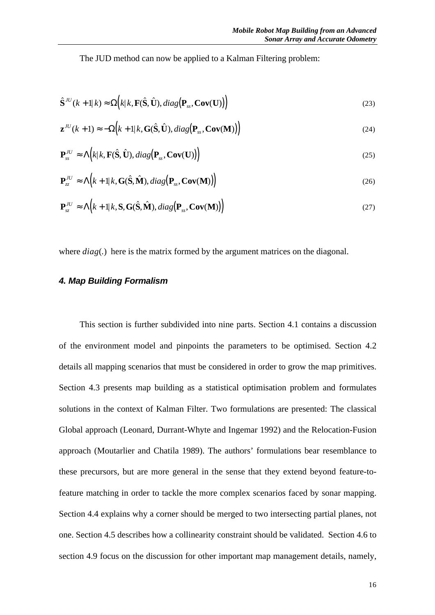The JUD method can now be applied to a Kalman Filtering problem:

$$
\hat{\mathbf{S}}^{IU}(k+1|k) \approx \Omega(k|k, \mathbf{F}(\hat{\mathbf{S}}, \hat{\mathbf{U}}), diag(\mathbf{P}_{ss}, \mathbf{Cov}(\mathbf{U}))\big)
$$
\n(23)

$$
\mathbf{z}^{IU}(k+1) \approx -\Omega(k+1|k, \mathbf{G}(\hat{\mathbf{S}}, \hat{\mathbf{U}}), diag(\mathbf{P}_{ss}, \mathbf{Cov}(\mathbf{M}))\big)
$$
(24)

$$
\mathbf{P}_{ss}^{IU} \approx \Lambda(k|k, \mathbf{F}(\hat{\mathbf{S}}, \hat{\mathbf{U}}), diag(\mathbf{P}_{ss}, \mathbf{Cov}(\mathbf{U}))\big)
$$
(25)

$$
\mathbf{P}_{zz}^{IU} \approx \Lambda \Big( k + 1 | k, \mathbf{G}(\hat{\mathbf{S}}, \hat{\mathbf{M}}), diag\big(\mathbf{P}_{ss}, \mathbf{Cov}(\mathbf{M})\big) \Big) \tag{26}
$$

$$
\mathbf{P}_{sz}^{IU} \approx \Lambda(k+1|k, \mathbf{S}, \mathbf{G}(\hat{\mathbf{S}}, \hat{\mathbf{M}}), diag(\mathbf{P}_{ss}, \mathbf{Cov}(\mathbf{M}))\big)
$$
(27)

where *diag*(*.*) here is the matrix formed by the argument matrices on the diagonal.

#### *4. Map Building Formalism*

This section is further subdivided into nine parts. Section 4.1 contains a discussion of the environment model and pinpoints the parameters to be optimised. Section 4.2 details all mapping scenarios that must be considered in order to grow the map primitives. Section 4.3 presents map building as a statistical optimisation problem and formulates solutions in the context of Kalman Filter. Two formulations are presented: The classical Global approach (Leonard, Durrant-Whyte and Ingemar 1992) and the Relocation-Fusion approach (Moutarlier and Chatila 1989). The authors' formulations bear resemblance to these precursors, but are more general in the sense that they extend beyond feature-tofeature matching in order to tackle the more complex scenarios faced by sonar mapping. Section 4.4 explains why a corner should be merged to two intersecting partial planes, not one. Section 4.5 describes how a collinearity constraint should be validated. Section 4.6 to section 4.9 focus on the discussion for other important map management details, namely,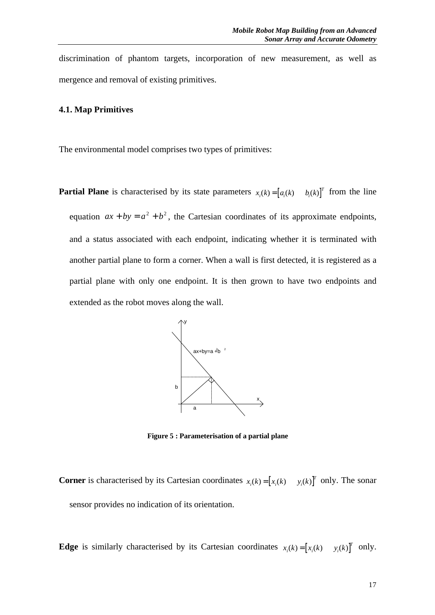discrimination of phantom targets, incorporation of new measurement, as well as mergence and removal of existing primitives.

# **4.1. Map Primitives**

The environmental model comprises two types of primitives:

**Partial Plane** is characterised by its state parameters  $x_i(k) = [a_i(k) \quad b_i(k)]^T$  from the line equation  $ax + by = a^2 + b^2$ , the Cartesian coordinates of its approximate endpoints, and a status associated with each endpoint, indicating whether it is terminated with another partial plane to form a corner. When a wall is first detected, it is registered as a partial plane with only one endpoint. It is then grown to have two endpoints and extended as the robot moves along the wall.



**Figure 5 : Parameterisation of a partial plane**

**Corner** is characterised by its Cartesian coordinates  $x_i(k) = [x_i(k) \quad y_i(k)]^T$  only. The sonar sensor provides no indication of its orientation.

**Edge** is similarly characterised by its Cartesian coordinates  $x_i(k) = [x_i(k) \quad y_i(k)]^T$  only.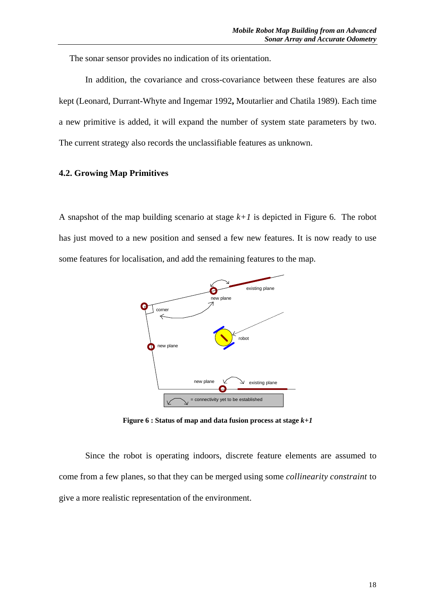The sonar sensor provides no indication of its orientation.

In addition, the covariance and cross-covariance between these features are also kept (Leonard, Durrant-Whyte and Ingemar 1992**,** Moutarlier and Chatila 1989). Each time a new primitive is added, it will expand the number of system state parameters by two. The current strategy also records the unclassifiable features as unknown.

# **4.2. Growing Map Primitives**

A snapshot of the map building scenario at stage *k+1* is depicted in Figure 6. The robot has just moved to a new position and sensed a few new features. It is now ready to use some features for localisation, and add the remaining features to the map.



**Figure 6 : Status of map and data fusion process at stage** *k+1*

Since the robot is operating indoors, discrete feature elements are assumed to come from a few planes, so that they can be merged using some *collinearity constraint* to give a more realistic representation of the environment.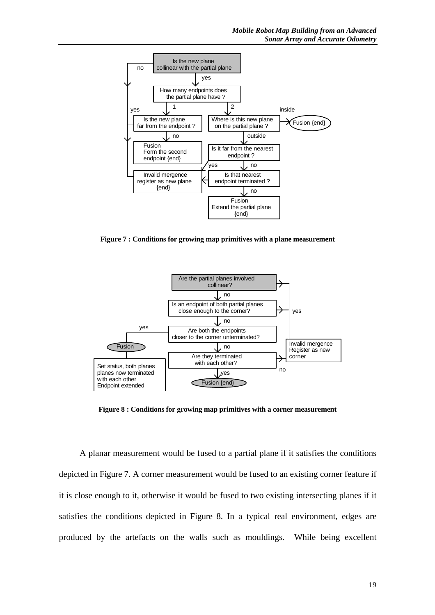

**Figure 7 : Conditions for growing map primitives with a plane measurement**



**Figure 8 : Conditions for growing map primitives with a corner measurement**

A planar measurement would be fused to a partial plane if it satisfies the conditions depicted in Figure 7. A corner measurement would be fused to an existing corner feature if it is close enough to it, otherwise it would be fused to two existing intersecting planes if it satisfies the conditions depicted in Figure 8. In a typical real environment, edges are produced by the artefacts on the walls such as mouldings. While being excellent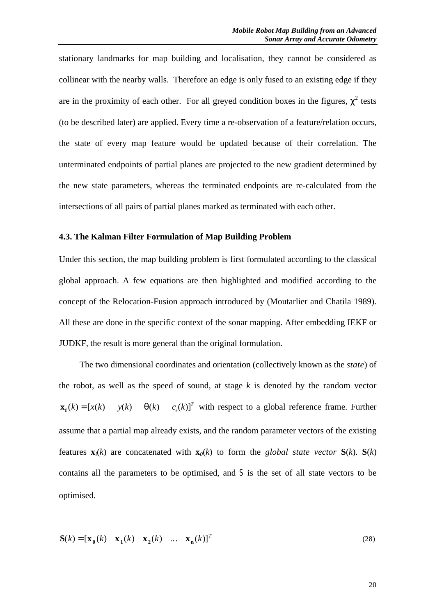stationary landmarks for map building and localisation, they cannot be considered as collinear with the nearby walls. Therefore an edge is only fused to an existing edge if they are in the proximity of each other. For all greyed condition boxes in the figures,  $\chi^2$  tests (to be described later) are applied. Every time a re-observation of a feature/relation occurs, the state of every map feature would be updated because of their correlation. The unterminated endpoints of partial planes are projected to the new gradient determined by the new state parameters, whereas the terminated endpoints are re-calculated from the intersections of all pairs of partial planes marked as terminated with each other.

# **4.3. The Kalman Filter Formulation of Map Building Problem**

Under this section, the map building problem is first formulated according to the classical global approach. A few equations are then highlighted and modified according to the concept of the Relocation-Fusion approach introduced by (Moutarlier and Chatila 1989). All these are done in the specific context of the sonar mapping. After embedding IEKF or JUDKF, the result is more general than the original formulation.

The two dimensional coordinates and orientation (collectively known as the *state*) of the robot, as well as the speed of sound, at stage *k* is denoted by the random vector **x**<sub>0</sub>(k) = [x(k) y(k) **q**(k) c<sub>s</sub>(k)] *s*  $T = [x(k) \quad y(k) \quad q(k) \quad c_s(k)$ <sup>T</sup> with respect to a global reference frame. Further assume that a partial map already exists, and the random parameter vectors of the existing features  $\mathbf{x}_i(k)$  are concatenated with  $\mathbf{x}_0(k)$  to form the *global state vector*  $\mathbf{S}(k)$ .  $\mathbf{S}(k)$ contains all the parameters to be optimised, and S is the set of all state vectors to be optimised.

$$
\mathbf{S}(k) = [\mathbf{x}_0(k) \quad \mathbf{x}_1(k) \quad \mathbf{x}_2(k) \quad \dots \quad \mathbf{x}_n(k)]^T
$$
 (28)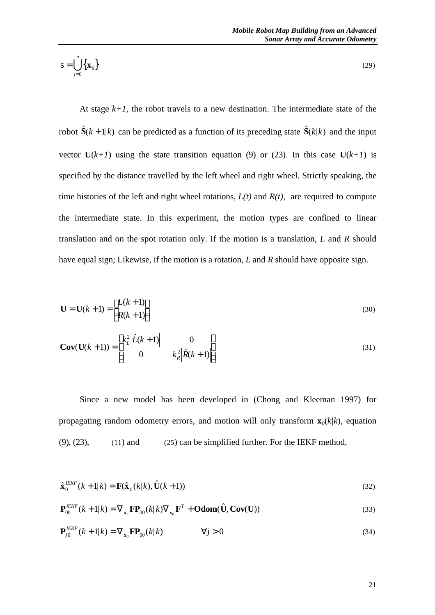$$
S = \bigcup_{i=0}^{n} \left\{ \mathbf{x}_i \right\} \tag{29}
$$

At stage  $k+1$ , the robot travels to a new destination. The intermediate state of the robot  $\hat{\mathbf{S}}(k+1|k)$  can be predicted as a function of its preceding state  $\hat{\mathbf{S}}(k|k)$  and the input vector  $U(k+1)$  using the state transition equation (9) or (23). In this case  $U(k+1)$  is specified by the distance travelled by the left wheel and right wheel. Strictly speaking, the time histories of the left and right wheel rotations,  $L(t)$  and  $R(t)$ , are required to compute the intermediate state. In this experiment, the motion types are confined to linear translation and on the spot rotation only. If the motion is a translation, *L* and *R* should

have equal sign; Likewise, if the motion is a rotation, *L* and *R* should have opposite sign.

$$
\mathbf{U} = \mathbf{U}(k+1) = \begin{bmatrix} L(k+1) \\ R(k+1) \end{bmatrix}
$$
\n(30)

$$
\mathbf{Cov}(\mathbf{U}(k+1)) = \begin{bmatrix} k_L^2 |\hat{L}(k+1)| & 0\\ 0 & k_R^2 |\hat{R}(k+1)| \end{bmatrix}
$$
(31)

Since a new model has been developed in (Chong and Kleeman 1997) for propagating random odometry errors, and motion will only transform  $\mathbf{x}_0(k/k)$ , equation  $(9)$ ,  $(23)$ ,  $(11)$  and  $(25)$  can be simplified further. For the IEKF method,

$$
\hat{\mathbf{x}}_0^{IEKF}(k+1|k) = \mathbf{F}(\hat{\mathbf{x}}_0(k|k), \hat{\mathbf{U}}(k+1))
$$
\n(32)

$$
\mathbf{P}_{00}^{IEKF}(k+1|k) = \nabla_{\mathbf{x}_0} \mathbf{F} \mathbf{P}_{00}(k|k) \nabla_{\mathbf{x}_0} \mathbf{F}^T + \mathbf{Odom}(\hat{\mathbf{U}}, \mathbf{Cov}(\mathbf{U}))
$$
\n(33)

$$
\mathbf{P}_{j0}^{I E K F}(k+1|k) = \nabla_{\mathbf{x}_0} \mathbf{F} \mathbf{P}_{00}(k|k) \qquad \forall j > 0 \tag{34}
$$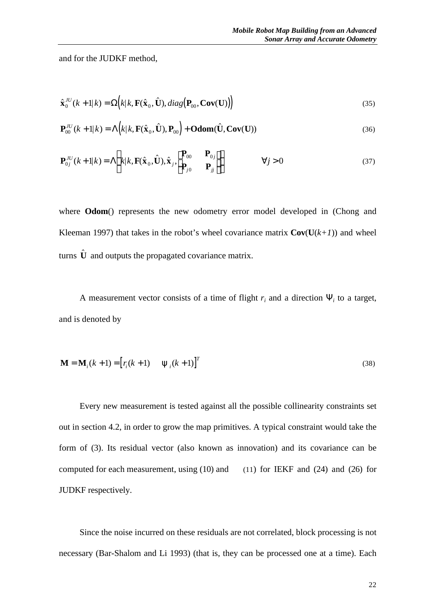and for the JUDKF method,

$$
\hat{\mathbf{x}}_0^{JU}(k+1|k) = \Omega(k|k, \mathbf{F}(\hat{\mathbf{x}}_0, \hat{\mathbf{U}}), diag(\mathbf{P}_{00}, \mathbf{Cov}(\mathbf{U}))
$$
\n(35)

$$
\mathbf{P}_{00}^{JU}(k+1|k) = \Lambda(k|k, \mathbf{F}(\hat{\mathbf{x}}_0, \hat{\mathbf{U}}), \mathbf{P}_{00}) + \mathbf{Odom}(\hat{\mathbf{U}}, \mathbf{Cov}(\mathbf{U}))
$$
\n(36)

$$
\mathbf{P}_{0j}^{JU}(k+1|k) = \Lambda \left( k|k, \mathbf{F}(\hat{\mathbf{x}}_0, \hat{\mathbf{U}}), \hat{\mathbf{x}}_j, \begin{bmatrix} \mathbf{P}_{00} & \mathbf{P}_{0j} \\ \mathbf{P}_{j0} & \mathbf{P}_{jj} \end{bmatrix} \right) \qquad \forall j > 0
$$
\n(37)

where **Odom**() represents the new odometry error model developed in (Chong and Kleeman 1997) that takes in the robot's wheel covariance matrix  $\text{Cov}(\text{U}(k+1))$  and wheel turns  $\hat{\mathbf{U}}$  and outputs the propagated covariance matrix.

A measurement vector consists of a time of flight  $r_i$  and a direction  $Y_i$  to a target, and is denoted by

$$
\mathbf{M} = \mathbf{M}_i(k+1) = \begin{bmatrix} r_i(k+1) & \mathbf{y}_i(k+1) \end{bmatrix}^T
$$
\n(38)

Every new measurement is tested against all the possible collinearity constraints set out in section 4.2, in order to grow the map primitives. A typical constraint would take the form of (3). Its residual vector (also known as innovation) and its covariance can be computed for each measurement, using (10) and (11) for IEKF and (24) and (26) for JUDKF respectively.

Since the noise incurred on these residuals are not correlated, block processing is not necessary (Bar-Shalom and Li 1993) (that is, they can be processed one at a time). Each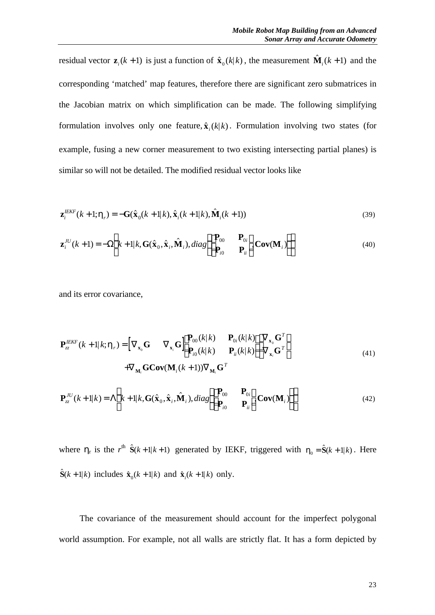residual vector  $\mathbf{z}_i(k+1)$  is just a function of  $\hat{\mathbf{x}}_0(k|k)$ , the measurement  $\hat{\mathbf{M}}_i(k+1)$  and the corresponding 'matched' map features, therefore there are significant zero submatrices in the Jacobian matrix on which simplification can be made. The following simplifying formulation involves only one feature,  $\hat{\mathbf{x}}_i(k|k)$ . Formulation involving two states (for example, fusing a new corner measurement to two existing intersecting partial planes) is similar so will not be detailed. The modified residual vector looks like

$$
\mathbf{z}_{i}^{I E K F}(k+1; \mathbf{h}_{i}) = -\mathbf{G}(\hat{\mathbf{x}}_{0}(k+1|k), \hat{\mathbf{x}}_{i}(k+1|k), \hat{\mathbf{M}}_{i}(k+1))
$$
\n(39)

$$
\mathbf{z}_{i}^{IU}(k+1) = -\Omega\left(k+1|k, \mathbf{G}(\hat{\mathbf{x}}_{0}, \hat{\mathbf{x}}_{i}, \hat{\mathbf{M}}_{i}), diag\begin{pmatrix} \mathbf{P}_{00} & \mathbf{P}_{0i} \\ \mathbf{P}_{i0} & \mathbf{P}_{ii} \end{pmatrix} \mathbf{Cov}(\mathbf{M}_{i})\right)
$$
(40)

and its error covariance,

$$
\mathbf{P}_{zz}^{IEKF}(k+1|k;h_r) = \begin{bmatrix} \nabla_{\mathbf{x}_0} \mathbf{G} & \nabla_{\mathbf{x}_i} \mathbf{G} \end{bmatrix} \begin{bmatrix} \mathbf{P}_{00}(k|k) & \mathbf{P}_{0i}(k|k) \\ \mathbf{P}_{i0}(k|k) & \mathbf{P}_{ii}(k|k) \end{bmatrix} \begin{bmatrix} \nabla_{\mathbf{x}_0} \mathbf{G}^T \\ \nabla_{\mathbf{x}_i} \mathbf{G}^T \end{bmatrix}
$$
\n
$$
+ \nabla_{\mathbf{M}_i} \mathbf{G} \mathbf{Cov}(\mathbf{M}_i(k+1)) \nabla_{\mathbf{M}_i} \mathbf{G}^T
$$
\n(41)

$$
\mathbf{P}_{zz}^{JU}(k+1|k) = \Lambda \left( k+1|k, \mathbf{G}(\hat{\mathbf{x}}_0, \hat{\mathbf{x}}_i, \hat{\mathbf{M}}_i), diag \begin{pmatrix} \mathbf{P}_{00} & \mathbf{P}_{0i} \\ \mathbf{P}_{i0} & \mathbf{P}_{ii} \end{pmatrix} \mathbf{Cov}(\mathbf{M}_i) \right) \tag{42}
$$

where  $h_r$  is the  $r^{th}$   $\hat{S}(k+1|k+1)$  generated by IEKF, triggered with  $h_0 = \hat{S}(k+1|k)$ . Here  $\hat{\mathbf{S}}(k+1|k)$  includes  $\hat{\mathbf{x}}_0(k+1|k)$  and  $\hat{\mathbf{x}}_i(k+1|k)$  only.

The covariance of the measurement should account for the imperfect polygonal world assumption. For example, not all walls are strictly flat. It has a form depicted by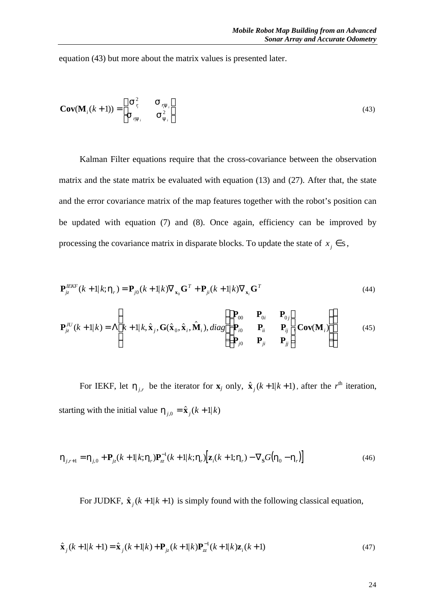equation (43) but more about the matrix values is presented later.

$$
\mathbf{Cov}(\mathbf{M}_i(k+1)) = \begin{bmatrix} \mathbf{S}_{\tau_i}^2 & \mathbf{S}_{\tau_{i}y_i} \\ \mathbf{S}_{\tau_{i}y_i} & \mathbf{S}_{\mathbf{y}_i}^2 \end{bmatrix}
$$
(43)

Kalman Filter equations require that the cross-covariance between the observation matrix and the state matrix be evaluated with equation (13) and (27). After that, the state and the error covariance matrix of the map features together with the robot's position can be updated with equation (7) and (8). Once again, efficiency can be improved by processing the covariance matrix in disparate blocks. To update the state of  $x_j \in S$ ,

$$
\mathbf{P}_{jz}^{IEKF}(k+1|k;\mathbf{h}_r) = \mathbf{P}_{j0}(k+1|k)\nabla_{\mathbf{x}_0}\mathbf{G}^T + \mathbf{P}_{ji}(k+1|k)\nabla_{\mathbf{x}_i}\mathbf{G}^T
$$
\n(44)

$$
\mathbf{P}_{jz}^{IU}(k+1|k) = \Lambda \left( k+1|k, \hat{\mathbf{x}}_j, \mathbf{G}(\hat{\mathbf{x}}_0, \hat{\mathbf{x}}_i, \hat{\mathbf{M}}_i), diag \begin{pmatrix} \mathbf{P}_{00} & \mathbf{P}_{0i} & \mathbf{P}_{0j} \\ \mathbf{P}_{i0} & \mathbf{P}_{ii} & \mathbf{P}_{ij} \\ \mathbf{P}_{j0} & \mathbf{P}_{ji} & \mathbf{P}_{jj} \end{pmatrix} \mathbf{Cov}(\mathbf{M}_i) \right)
$$
(45)

For IEKF, let  $h_{j,r}$  be the iterator for  $\mathbf{x}_j$  only,  $\hat{\mathbf{x}}_j(k+1|k+1)$ , after the  $r^{\text{th}}$  iteration, starting with the initial value  $h_{j,0} = \hat{x}_j(k+1|k)$ 

$$
\boldsymbol{h}_{j,r+1} = \boldsymbol{h}_{j,0} + \mathbf{P}_{jz}(k+1|k;\boldsymbol{h}_r)\mathbf{P}_{zz}^{-1}(k+1|k;\boldsymbol{h}_r)\big[\mathbf{z}_i(k+1;\boldsymbol{h}_r) - \nabla_{\mathbf{S}}G(\boldsymbol{h}_0 - \boldsymbol{h}_r)\big] \tag{46}
$$

For JUDKF,  $\hat{\mathbf{x}}_j(k+1|k+1)$  is simply found with the following classical equation,

$$
\hat{\mathbf{x}}_j(k+1|k+1) = \hat{\mathbf{x}}_j(k+1|k) + \mathbf{P}_{jz}(k+1|k)\mathbf{P}_{zz}^{-1}(k+1|k)\mathbf{Z}_i(k+1)
$$
\n(47)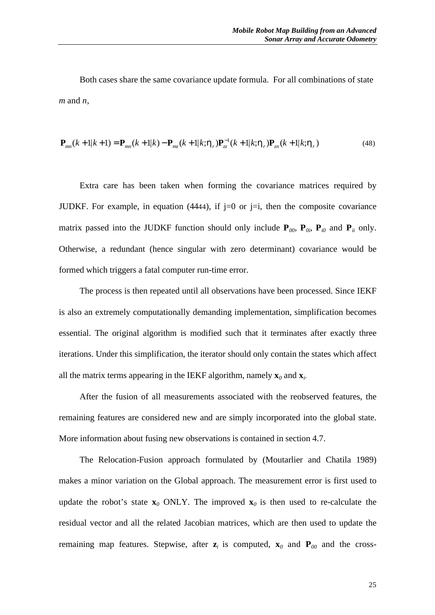Both cases share the same covariance update formula. For all combinations of state *m* and *n*,

$$
\mathbf{P}_{mn}(k+1|k+1) = \mathbf{P}_{mn}(k+1|k) - \mathbf{P}_{mz}(k+1|k;h_r)\mathbf{P}_{zz}^{-1}(k+1|k;h_r)\mathbf{P}_{zn}(k+1|k;h_r)
$$
\n(48)

Extra care has been taken when forming the covariance matrices required by JUDKF. For example, in equation (4444), if  $j=0$  or  $j=i$ , then the composite covariance matrix passed into the JUDKF function should only include  $P_{00}$ ,  $P_{0i}$ ,  $P_{i0}$  and  $P_{ii}$  only. Otherwise, a redundant (hence singular with zero determinant) covariance would be formed which triggers a fatal computer run-time error.

The process is then repeated until all observations have been processed. Since IEKF is also an extremely computationally demanding implementation, simplification becomes essential. The original algorithm is modified such that it terminates after exactly three iterations. Under this simplification, the iterator should only contain the states which affect all the matrix terms appearing in the IEKF algorithm, namely  $\mathbf{x}_0$  and  $\mathbf{x}_i$ .

After the fusion of all measurements associated with the reobserved features, the remaining features are considered new and are simply incorporated into the global state. More information about fusing new observations is contained in section 4.7.

The Relocation-Fusion approach formulated by (Moutarlier and Chatila 1989) makes a minor variation on the Global approach. The measurement error is first used to update the robot's state  $\mathbf{x}_0$  ONLY. The improved  $\mathbf{x}_0$  is then used to re-calculate the residual vector and all the related Jacobian matrices, which are then used to update the remaining map features. Stepwise, after  $z_i$  is computed,  $x_0$  and  $P_{00}$  and the cross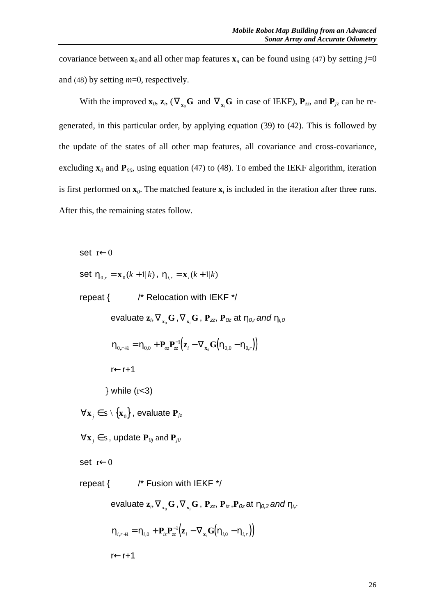covariance between  $\mathbf{x}_0$  and all other map features  $\mathbf{x}_n$  can be found using (47) by setting *j*=0 and (48) by setting *m*=0, respectively.

With the improved  $\mathbf{x}_0$ ,  $\mathbf{z}_i$ ,  $(\nabla_{\mathbf{x}_0} \mathbf{G} \text{ and } \nabla_{\mathbf{x}_i} \mathbf{G} \text{ in case of IEKF})$ ,  $\mathbf{P}_{zz}$ , and  $\mathbf{P}_{jz}$  can be regenerated, in this particular order, by applying equation (39) to (42). This is followed by the update of the states of all other map features, all covariance and cross-covariance, excluding  $\mathbf{x}_0$  and  $\mathbf{P}_{00}$ , using equation (47) to (48). To embed the IEKF algorithm, iteration is first performed on  $\mathbf{x}_0$ . The matched feature  $\mathbf{x}_i$  is included in the iteration after three runs. After this, the remaining states follow.

set r←0

set  $h_{0,r} = \mathbf{x}_0(k+1|k)$ ,  $h_{i,r} = \mathbf{x}_i(k+1|k)$ 

repeat { /\* Relocation with IEKF \*/

evaluate  $\mathbf{z}_i, \nabla_{_{\mathbf{x}_0}}\mathbf{G}$  ,  $\nabla_{_{\mathbf{x}_i}}\mathbf{G}$  ,  $\mathbf{P}_{\mathbf{z}\mathbf{z}},$   $\mathbf{P}_{\mathbf{0}\mathbf{z}}$  at  $\boldsymbol{h}_{\mathbf{0},r}$  and  $\boldsymbol{h}_{\mathbf{i},\mathbf{0}}$ 

$$
\boldsymbol{h}_{0,r+1} = \boldsymbol{h}_{0,0} + \mathbf{P}_{oz}\mathbf{P}_{zz}^{-1}(\mathbf{z}_i - \nabla_{\mathbf{x}_0}\mathbf{G}\big(\boldsymbol{h}_{0,0} - \boldsymbol{h}_{0,r}\big)\big)
$$

r←r+1

 $}$  while  $(r<3)$ 

 $\forall$ **x**<sub>*j*</sub> ∈ s \ {**x**<sub>0</sub>}, evaluate **P**<sub>*jz*</sub>

 $\forall$ **x**<sub>*j*</sub>  $\in$  S, update  $P_{0j}$  and  $P_{j0}$ 

set r←0

$$
repeat \{ 1 * Fusion with I EKF */
$$

evaluate  $\mathbf{z}_i, \nabla_{\mathbf{x}_i}\mathbf{G}$  ,  $\nabla_{\mathbf{x}_i}\mathbf{G}$  ,  $\mathbf{P}_{\mathsf{zz}}, \mathbf{P}_{\mathsf{iz}}, \mathbf{P}_{\mathsf{0z}}$ at  $\bm{h}_{\mathsf{0},\mathsf{2}}$  and  $\bm{h}_{\mathsf{i},\mathsf{r}}$ 

$$
\boldsymbol{h}_{i,r+1} = \boldsymbol{h}_{i,0} + \mathbf{P}_{i,z} \mathbf{P}_{zz}^{-1} (\boldsymbol{z}_i - \nabla_{\mathbf{x}_i} \mathbf{G} (\boldsymbol{h}_{i,0} - \boldsymbol{h}_{i,r}))
$$

r←r+1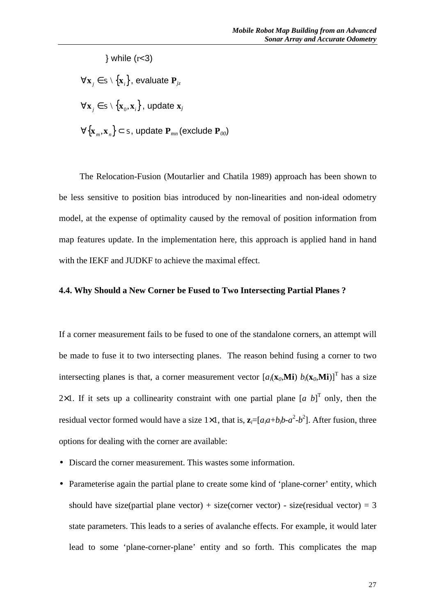$\}$  while ( $r<3$ )

 $\forall$ **x**<sub>*j*</sub> ∈ s \ {**x**<sub>*i*</sub>}, evaluate **P**<sub>*jz*</sub>

 $\forall \mathbf{x}_j \in \mathbb{S} \setminus \left\{ \mathbf{x}_0, \mathbf{x}_i \right\}$  , update  $\mathbf{x}_j$ 

∀{**x** *<sup>m</sup>* ,**x***n*} ⊂ <sup>S</sup>, update **P***mn* (exclude **P***00*)

The Relocation-Fusion (Moutarlier and Chatila 1989) approach has been shown to be less sensitive to position bias introduced by non-linearities and non-ideal odometry model, at the expense of optimality caused by the removal of position information from map features update. In the implementation here, this approach is applied hand in hand with the IEKF and JUDKF to achieve the maximal effect.

#### **4.4. Why Should a New Corner be Fused to Two Intersecting Partial Planes ?**

If a corner measurement fails to be fused to one of the standalone corners, an attempt will be made to fuse it to two intersecting planes. The reason behind fusing a corner to two intersecting planes is that, a corner measurement vector  $[a_i(\mathbf{x}_0, \mathbf{M}i) b_i(\mathbf{x}_0, \mathbf{M}i)]^T$  has a size 2×1. If it sets up a collinearity constraint with one partial plane  $[a, b]^T$  only, then the residual vector formed would have a size 1×1, that is,  $\mathbf{z}_i = [a_i a + b_i b - a^2 - b^2]$ . After fusion, three options for dealing with the corner are available:

- Discard the corner measurement. This wastes some information.
- Parameterise again the partial plane to create some kind of 'plane-corner' entity, which should have size(partial plane vector) + size(corner vector) - size(residual vector) = 3 state parameters. This leads to a series of avalanche effects. For example, it would later lead to some 'plane-corner-plane' entity and so forth. This complicates the map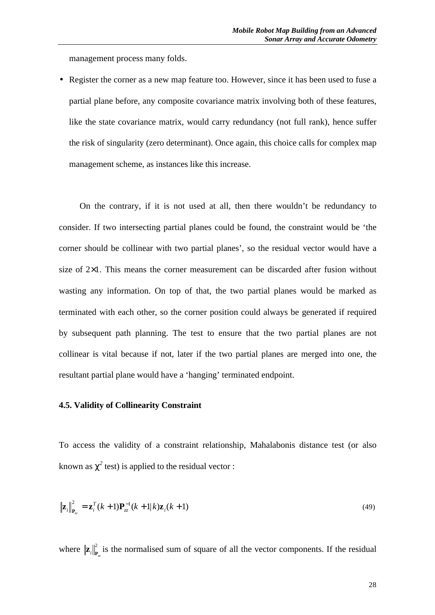management process many folds.

• Register the corner as a new map feature too. However, since it has been used to fuse a partial plane before, any composite covariance matrix involving both of these features, like the state covariance matrix, would carry redundancy (not full rank), hence suffer the risk of singularity (zero determinant). Once again, this choice calls for complex map management scheme, as instances like this increase.

On the contrary, if it is not used at all, then there wouldn't be redundancy to consider. If two intersecting partial planes could be found, the constraint would be 'the corner should be collinear with two partial planes', so the residual vector would have a size of 2×1. This means the corner measurement can be discarded after fusion without wasting any information. On top of that, the two partial planes would be marked as terminated with each other, so the corner position could always be generated if required by subsequent path planning. The test to ensure that the two partial planes are not collinear is vital because if not, later if the two partial planes are merged into one, the resultant partial plane would have a 'hanging' terminated endpoint.

# **4.5. Validity of Collinearity Constraint**

To access the validity of a constraint relationship, Mahalabonis distance test (or also known as  $c^2$  test) is applied to the residual vector :

$$
\left\|\mathbf{z}_i\right\|_{\mathbf{P}_{zz}}^2 = \mathbf{z}_i^T(k+1)\mathbf{P}_{zz}^{-1}(k+1|k)\mathbf{z}_i(k+1)
$$
\n(49)

where  $\|\mathbf{z}_i\|_{\mathbf{P}_x}^2$  is the normalised sum of square of all the vector components. If the residual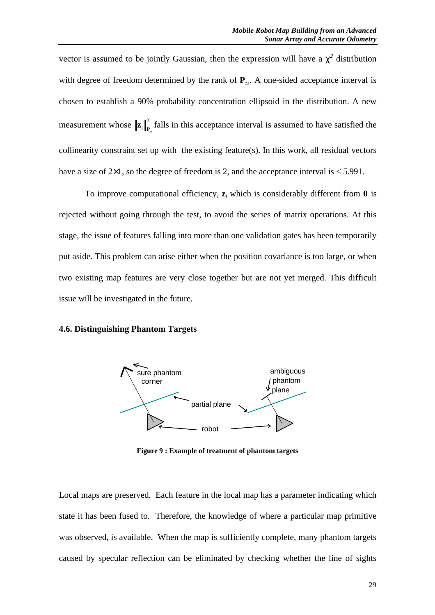vector is assumed to be jointly Gaussian, then the expression will have a  $c^2$  distribution with degree of freedom determined by the rank of  $P_{zz}$ . A one-sided acceptance interval is chosen to establish a 90% probability concentration ellipsoid in the distribution. A new measurement whose  $\|\mathbf{z}_i\|_{\mathbf{P}_{\alpha}}^2$  falls in this acceptance interval is assumed to have satisfied the collinearity constraint set up with the existing feature(s). In this work, all residual vectors have a size of  $2\times1$ , so the degree of freedom is 2, and the acceptance interval is  $\leq 5.991$ .

To improve computational efficiency,  $z_i$  which is considerably different from  $\theta$  is rejected without going through the test, to avoid the series of matrix operations. At this stage, the issue of features falling into more than one validation gates has been temporarily put aside. This problem can arise either when the position covariance is too large, or when two existing map features are very close together but are not yet merged. This difficult issue will be investigated in the future.

#### **4.6. Distinguishing Phantom Targets**



**Figure 9 : Example of treatment of phantom targets**

Local maps are preserved. Each feature in the local map has a parameter indicating which state it has been fused to. Therefore, the knowledge of where a particular map primitive was observed, is available. When the map is sufficiently complete, many phantom targets caused by specular reflection can be eliminated by checking whether the line of sights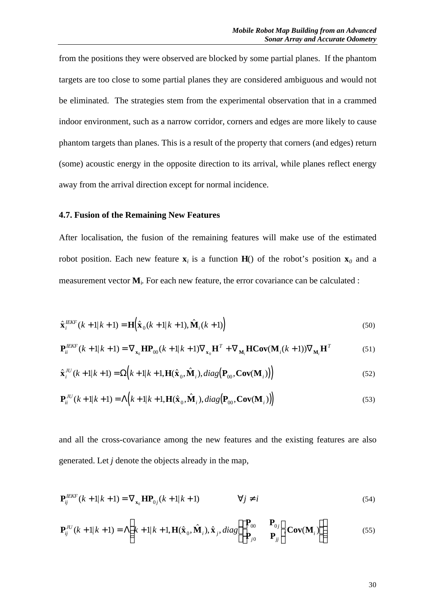from the positions they were observed are blocked by some partial planes. If the phantom targets are too close to some partial planes they are considered ambiguous and would not be eliminated. The strategies stem from the experimental observation that in a crammed indoor environment, such as a narrow corridor, corners and edges are more likely to cause phantom targets than planes. This is a result of the property that corners (and edges) return (some) acoustic energy in the opposite direction to its arrival, while planes reflect energy away from the arrival direction except for normal incidence.

#### **4.7. Fusion of the Remaining New Features**

After localisation, the fusion of the remaining features will make use of the estimated robot position. Each new feature  $\mathbf{x}_i$  is a function  $\mathbf{H}$ () of the robot's position  $\mathbf{x}_0$  and a measurement vector  $M$ <sup>2</sup>. For each new feature, the error covariance can be calculated :

$$
\hat{\mathbf{x}}_i^{IEKF}(k+1|k+1) = \mathbf{H}(\hat{\mathbf{x}}_0(k+1|k+1), \hat{\mathbf{M}}_i(k+1))
$$
\n(50)

$$
\mathbf{P}_{ii}^{IEKF}(k+1|k+1) = \nabla_{\mathbf{x}_0} \mathbf{H} \mathbf{P}_{00}(k+1|k+1) \nabla_{\mathbf{x}_0} \mathbf{H}^T + \nabla_{\mathbf{M}_i} \mathbf{H} \mathbf{Cov}(\mathbf{M}_i(k+1)) \nabla_{\mathbf{M}_i} \mathbf{H}^T
$$
 (51)

$$
\hat{\mathbf{x}}_i^{JU}(k+1|k+1) = \Omega(k+1|k+1, \mathbf{H}(\hat{\mathbf{x}}_0, \hat{\mathbf{M}}_i), diag(\mathbf{P}_{00}, \mathbf{Cov}(\mathbf{M}_i)))
$$
\n(52)

$$
\mathbf{P}_{ii}^{JU}(k+1|k+1) = \Lambda(k+1|k+1, \mathbf{H}(\hat{\mathbf{x}}_0, \hat{\mathbf{M}}_i), diag(\mathbf{P}_{00}, \mathbf{Cov}(\mathbf{M}_i))\big)
$$
(53)

and all the cross-covariance among the new features and the existing features are also generated. Let *j* denote the objects already in the map,

$$
\mathbf{P}_{ij}^{IEKF}(k+1|k+1) = \nabla_{\mathbf{x}_0} \mathbf{H} \mathbf{P}_{0j}(k+1|k+1) \qquad \forall j \neq i
$$
\n(54)

$$
\mathbf{P}_{ij}^{IU}(k+1|k+1) = \Lambda \left(k+1|k+1, \mathbf{H}(\hat{\mathbf{x}}_0, \hat{\mathbf{M}}_i), \hat{\mathbf{x}}_j, diag\begin{pmatrix} \mathbf{P}_{00} & \mathbf{P}_{0j} \\ \mathbf{P}_{j0} & \mathbf{P}_{jj} \end{pmatrix} \mathbf{Cov}(\mathbf{M}_i) \right)
$$
(55)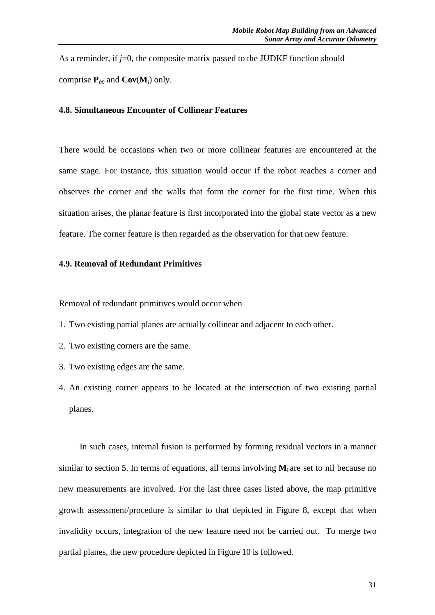As a reminder, if *j*=0, the composite matrix passed to the JUDKF function should comprise  $P_{00}$  and  $Cov(M_i)$  only.

# **4.8. Simultaneous Encounter of Collinear Features**

There would be occasions when two or more collinear features are encountered at the same stage. For instance, this situation would occur if the robot reaches a corner and observes the corner and the walls that form the corner for the first time. When this situation arises, the planar feature is first incorporated into the global state vector as a new feature. The corner feature is then regarded as the observation for that new feature.

#### **4.9. Removal of Redundant Primitives**

Removal of redundant primitives would occur when

- 1. Two existing partial planes are actually collinear and adjacent to each other.
- 2. Two existing corners are the same.
- 3. Two existing edges are the same.
- 4. An existing corner appears to be located at the intersection of two existing partial planes.

In such cases, internal fusion is performed by forming residual vectors in a manner similar to section 5. In terms of equations, all terms involving  $M_i$  are set to nil because no new measurements are involved. For the last three cases listed above, the map primitive growth assessment/procedure is similar to that depicted in Figure 8, except that when invalidity occurs, integration of the new feature need not be carried out. To merge two partial planes, the new procedure depicted in Figure 10 is followed.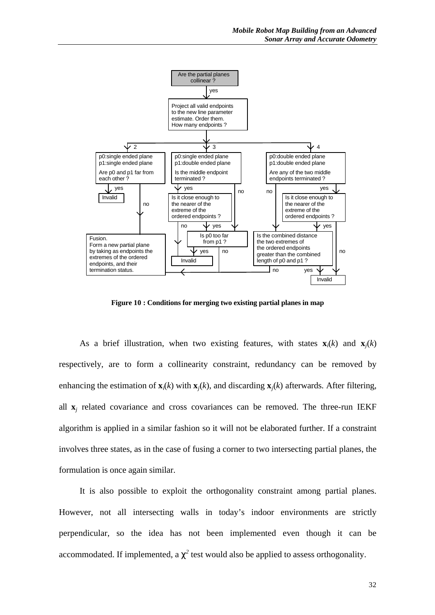

**Figure 10 : Conditions for merging two existing partial planes in map**

As a brief illustration, when two existing features, with states  $\mathbf{x}_i(k)$  and  $\mathbf{x}_i(k)$ respectively, are to form a collinearity constraint, redundancy can be removed by enhancing the estimation of  $\mathbf{x}_i(k)$  with  $\mathbf{x}_i(k)$ , and discarding  $\mathbf{x}_i(k)$  afterwards. After filtering, all  $\mathbf{x}_j$  related covariance and cross covariances can be removed. The three-run IEKF algorithm is applied in a similar fashion so it will not be elaborated further. If a constraint involves three states, as in the case of fusing a corner to two intersecting partial planes, the formulation is once again similar.

It is also possible to exploit the orthogonality constraint among partial planes. However, not all intersecting walls in today's indoor environments are strictly perpendicular, so the idea has not been implemented even though it can be accommodated. If implemented, a  $c^2$  test would also be applied to assess orthogonality.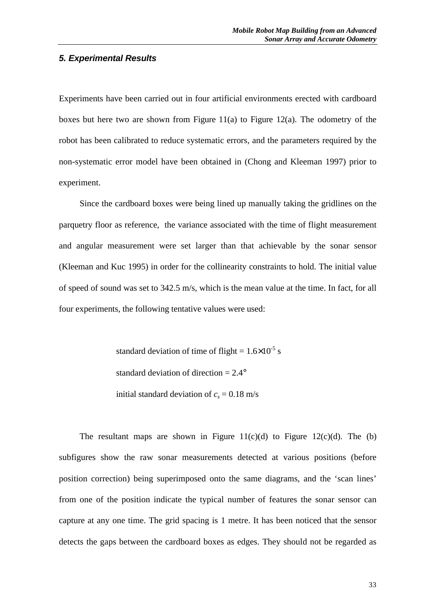#### *5. Experimental Results*

Experiments have been carried out in four artificial environments erected with cardboard boxes but here two are shown from Figure 11(a) to Figure 12(a). The odometry of the robot has been calibrated to reduce systematic errors, and the parameters required by the non-systematic error model have been obtained in (Chong and Kleeman 1997) prior to experiment.

Since the cardboard boxes were being lined up manually taking the gridlines on the parquetry floor as reference, the variance associated with the time of flight measurement and angular measurement were set larger than that achievable by the sonar sensor (Kleeman and Kuc 1995) in order for the collinearity constraints to hold. The initial value of speed of sound was set to 342.5 m/s, which is the mean value at the time. In fact, for all four experiments, the following tentative values were used:

> standard deviation of time of flight =  $1.6 \times 10^{-5}$  s standard deviation of direction  $= 2.4^{\circ}$ initial standard deviation of  $c_s = 0.18$  m/s

The resultant maps are shown in Figure  $11(c)(d)$  to Figure  $12(c)(d)$ . The (b) subfigures show the raw sonar measurements detected at various positions (before position correction) being superimposed onto the same diagrams, and the 'scan lines' from one of the position indicate the typical number of features the sonar sensor can capture at any one time. The grid spacing is 1 metre. It has been noticed that the sensor detects the gaps between the cardboard boxes as edges. They should not be regarded as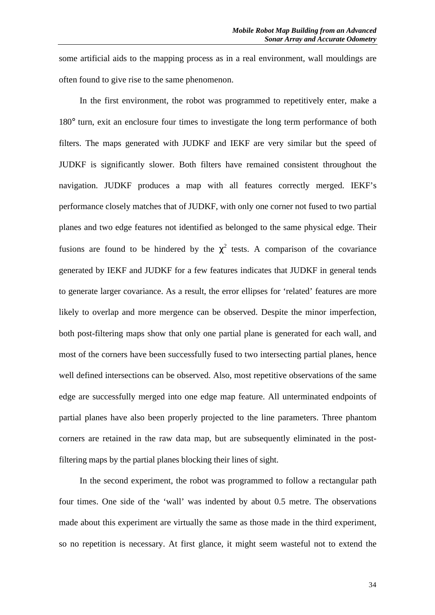some artificial aids to the mapping process as in a real environment, wall mouldings are often found to give rise to the same phenomenon.

In the first environment, the robot was programmed to repetitively enter, make a 180° turn, exit an enclosure four times to investigate the long term performance of both filters. The maps generated with JUDKF and IEKF are very similar but the speed of JUDKF is significantly slower. Both filters have remained consistent throughout the navigation. JUDKF produces a map with all features correctly merged. IEKF's performance closely matches that of JUDKF, with only one corner not fused to two partial planes and two edge features not identified as belonged to the same physical edge. Their fusions are found to be hindered by the  $\chi^2$  tests. A comparison of the covariance generated by IEKF and JUDKF for a few features indicates that JUDKF in general tends to generate larger covariance. As a result, the error ellipses for 'related' features are more likely to overlap and more mergence can be observed. Despite the minor imperfection, both post-filtering maps show that only one partial plane is generated for each wall, and most of the corners have been successfully fused to two intersecting partial planes, hence well defined intersections can be observed. Also, most repetitive observations of the same edge are successfully merged into one edge map feature. All unterminated endpoints of partial planes have also been properly projected to the line parameters. Three phantom corners are retained in the raw data map, but are subsequently eliminated in the postfiltering maps by the partial planes blocking their lines of sight.

In the second experiment, the robot was programmed to follow a rectangular path four times. One side of the 'wall' was indented by about 0.5 metre. The observations made about this experiment are virtually the same as those made in the third experiment, so no repetition is necessary. At first glance, it might seem wasteful not to extend the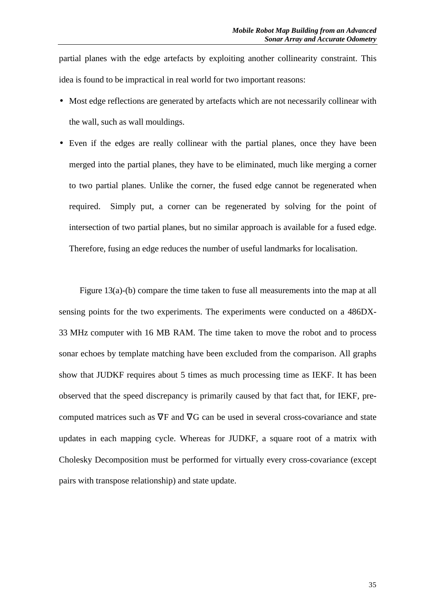partial planes with the edge artefacts by exploiting another collinearity constraint. This idea is found to be impractical in real world for two important reasons:

- Most edge reflections are generated by artefacts which are not necessarily collinear with the wall, such as wall mouldings.
- Even if the edges are really collinear with the partial planes, once they have been merged into the partial planes, they have to be eliminated, much like merging a corner to two partial planes. Unlike the corner, the fused edge cannot be regenerated when required. Simply put, a corner can be regenerated by solving for the point of intersection of two partial planes, but no similar approach is available for a fused edge. Therefore, fusing an edge reduces the number of useful landmarks for localisation.

Figure 13(a)-(b) compare the time taken to fuse all measurements into the map at all sensing points for the two experiments. The experiments were conducted on a 486DX-33 MHz computer with 16 MB RAM. The time taken to move the robot and to process sonar echoes by template matching have been excluded from the comparison. All graphs show that JUDKF requires about 5 times as much processing time as IEKF. It has been observed that the speed discrepancy is primarily caused by that fact that, for IEKF, precomputed matrices such as ∇F and ∇G can be used in several cross-covariance and state updates in each mapping cycle. Whereas for JUDKF, a square root of a matrix with Cholesky Decomposition must be performed for virtually every cross-covariance (except pairs with transpose relationship) and state update.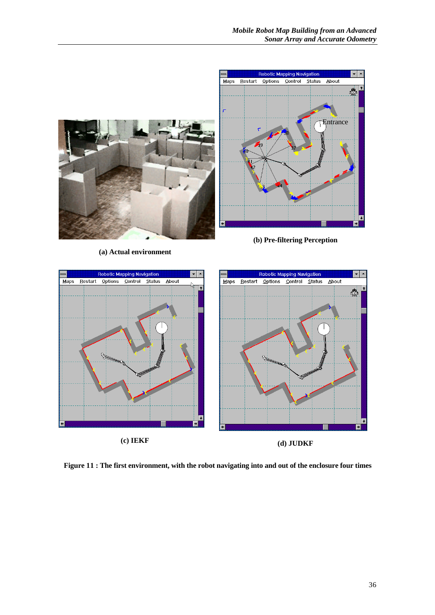



**Figure 11 : The first environment, with the robot navigating into and out of the enclosure four times**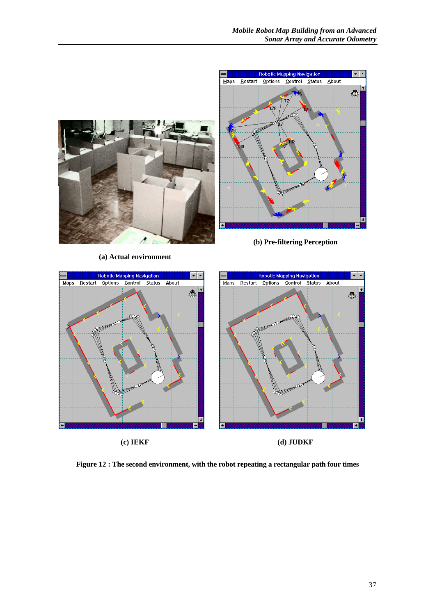

**Figure 12 : The second environment, with the robot repeating a rectangular path four times**

**(c) IEKF (d) JUDKF**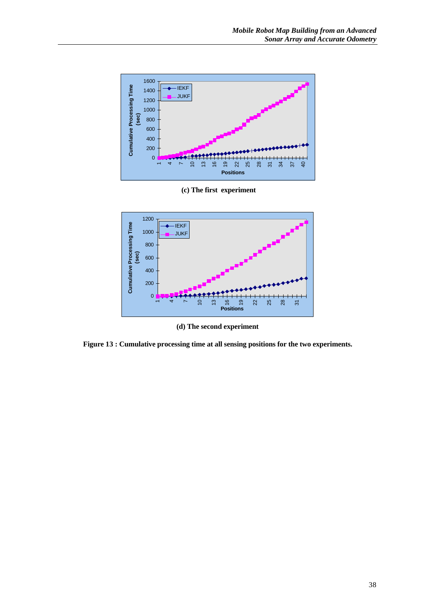

 **(c) The first experiment**



**(d) The second experiment**

**Figure 13 : Cumulative processing time at all sensing positions for the two experiments.**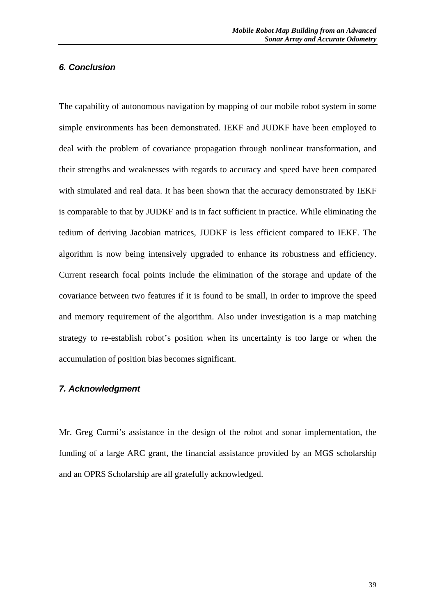#### *6. Conclusion*

The capability of autonomous navigation by mapping of our mobile robot system in some simple environments has been demonstrated. IEKF and JUDKF have been employed to deal with the problem of covariance propagation through nonlinear transformation, and their strengths and weaknesses with regards to accuracy and speed have been compared with simulated and real data. It has been shown that the accuracy demonstrated by IEKF is comparable to that by JUDKF and is in fact sufficient in practice. While eliminating the tedium of deriving Jacobian matrices, JUDKF is less efficient compared to IEKF. The algorithm is now being intensively upgraded to enhance its robustness and efficiency. Current research focal points include the elimination of the storage and update of the covariance between two features if it is found to be small, in order to improve the speed and memory requirement of the algorithm. Also under investigation is a map matching strategy to re-establish robot's position when its uncertainty is too large or when the accumulation of position bias becomes significant.

# *7. Acknowledgment*

Mr. Greg Curmi's assistance in the design of the robot and sonar implementation, the funding of a large ARC grant, the financial assistance provided by an MGS scholarship and an OPRS Scholarship are all gratefully acknowledged.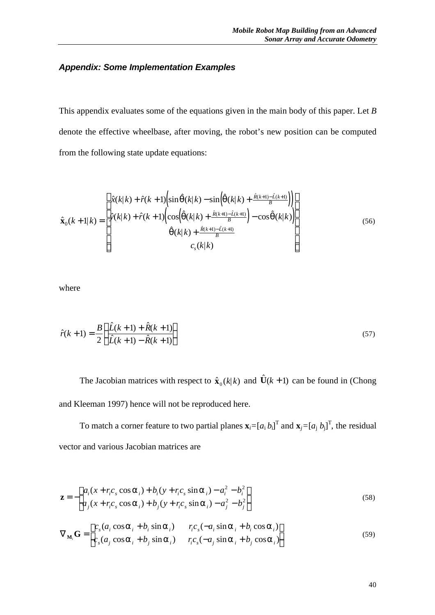# *Appendix: Some Implementation Examples*

This appendix evaluates some of the equations given in the main body of this paper. Let *B* denote the effective wheelbase, after moving, the robot's new position can be computed from the following state update equations:

$$
\hat{\mathbf{x}}_{0}(k+1|k) = \begin{bmatrix} \hat{x}(k|k) + \hat{r}(k+1)\left(\sin\hat{\mathbf{q}}(k|k) - \sin\left(\hat{\mathbf{q}}(k|k) + \frac{\hat{R}(k+1) - \hat{L}(k+1)}{B}\right)\right) \\ \hat{y}(k|k) + \hat{r}(k+1)\left(\cos\left(\hat{\mathbf{q}}(k|k) + \frac{\hat{R}(k+1) - \hat{L}(k+1)}{B}\right) - \cos\hat{\mathbf{q}}(k|k)\right) \\ \hat{\mathbf{q}}(k|k) + \frac{\hat{R}(k+1) - \hat{L}(k+1)}{B} \end{bmatrix} \tag{56}
$$

where

$$
\hat{r}(k+1) = \frac{B}{2} \left( \frac{\hat{L}(k+1) + \hat{R}(k+1)}{\hat{L}(k+1) - \hat{R}(k+1)} \right)
$$
\n(57)

The Jacobian matrices with respect to  $\hat{\mathbf{x}}_0(k|k)$  and  $\hat{\mathbf{U}}(k+1)$  can be found in (Chong and Kleeman 1997) hence will not be reproduced here.

To match a corner feature to two partial planes  $\mathbf{x}_i = [a_i b_i]^T$  and  $\mathbf{x}_j = [a_j b_j]^T$ , the residual vector and various Jacobian matrices are

$$
\mathbf{z} = -\begin{bmatrix} a_i(x + r_i c_s \cos \mathbf{a}_i) + b_i(y + r_i c_s \sin \mathbf{a}_i) - a_i^2 - b_i^2 \\ a_j(x + r_i c_s \cos \mathbf{a}_i) + b_j(y + r_i c_s \sin \mathbf{a}_i) - a_j^2 - b_j^2 \end{bmatrix}
$$
(58)

$$
\nabla_{\mathbf{M}_i} \mathbf{G} = \begin{bmatrix} c_s (a_i \cos \mathbf{a}_i + b_i \sin \mathbf{a}_i) & r_i c_s (-a_i \sin \mathbf{a}_i + b_i \cos \mathbf{a}_i) \\ c_s (a_j \cos \mathbf{a}_i + b_j \sin \mathbf{a}_i) & r_i c_s (-a_j \sin \mathbf{a}_i + b_j \cos \mathbf{a}_i) \end{bmatrix}
$$
(59)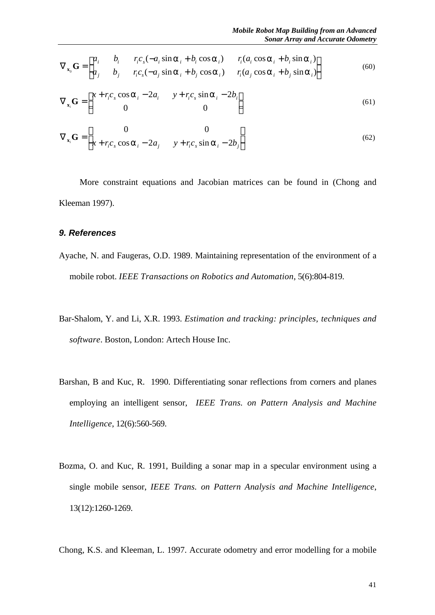$$
\nabla_{\mathbf{x}_0} \mathbf{G} = \begin{bmatrix} a_i & b_i & r_i c_s (-a_i \sin \mathbf{a}_i + b_i \cos \mathbf{a}_i) & r_i (a_i \cos \mathbf{a}_i + b_i \sin \mathbf{a}_i) \\ a_j & b_j & r_i c_s (-a_j \sin \mathbf{a}_i + b_j \cos \mathbf{a}_i) & r_i (a_j \cos \mathbf{a}_i + b_j \sin \mathbf{a}_i) \end{bmatrix}
$$
(60)

$$
\nabla_{\mathbf{x}_i} \mathbf{G} = \begin{bmatrix} x + r_i c_s \cos \mathbf{a}_i - 2a_i & y + r_i c_s \sin \mathbf{a}_i - 2b_i \\ 0 & 0 \end{bmatrix}
$$
(61)

$$
\nabla_{\mathbf{x}_i} \mathbf{G} = \begin{bmatrix} 0 & 0 \\ x + r_i c_s \cos \mathbf{a}_i - 2a_j & y + r_i c_s \sin \mathbf{a}_i - 2b_j \end{bmatrix}
$$
(62)

More constraint equations and Jacobian matrices can be found in (Chong and Kleeman 1997).

#### *9. References*

- Ayache, N. and Faugeras, O.D. 1989. Maintaining representation of the environment of a mobile robot. *IEEE Transactions on Robotics and Automation*, 5(6):804-819.
- Bar-Shalom, Y. and Li, X.R. 1993. *Estimation and tracking: principles, techniques and software*. Boston, London: Artech House Inc.
- Barshan, B and Kuc, R. 1990. Differentiating sonar reflections from corners and planes employing an intelligent sensor, *IEEE Trans. on Pattern Analysis and Machine Intelligence*, 12(6):560-569.
- Bozma, O. and Kuc, R. 1991, Building a sonar map in a specular environment using a single mobile sensor, *IEEE Trans. on Pattern Analysis and Machine Intelligence*, 13(12):1260-1269.

Chong, K.S. and Kleeman, L. 1997. Accurate odometry and error modelling for a mobile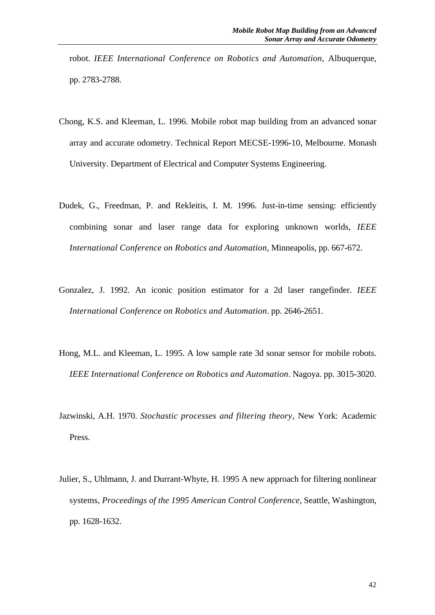robot. *IEEE International Conference on Robotics and Automation*, Albuquerque, pp. 2783-2788.

- Chong, K.S. and Kleeman, L. 1996. Mobile robot map building from an advanced sonar array and accurate odometry. Technical Report MECSE-1996-10, Melbourne. Monash University. Department of Electrical and Computer Systems Engineering.
- Dudek, G., Freedman, P. and Rekleitis, I. M. 1996. Just-in-time sensing: efficiently combining sonar and laser range data for exploring unknown worlds, *IEEE International Conference on Robotics and Automation*, Minneapolis, pp. 667-672.
- Gonzalez, J. 1992. An iconic position estimator for a 2d laser rangefinder. *IEEE International Conference on Robotics and Automation*. pp. 2646-2651.
- Hong, M.L. and Kleeman, L. 1995. A low sample rate 3d sonar sensor for mobile robots. *IEEE International Conference on Robotics and Automation*. Nagoya. pp. 3015-3020.
- Jazwinski, A.H. 1970. *Stochastic processes and filtering theory*, New York: Academic Press.
- Julier, S., Uhlmann, J. and Durrant-Whyte, H. 1995 A new approach for filtering nonlinear systems, *Proceedings of the 1995 American Control Conference*, Seattle, Washington, pp. 1628-1632.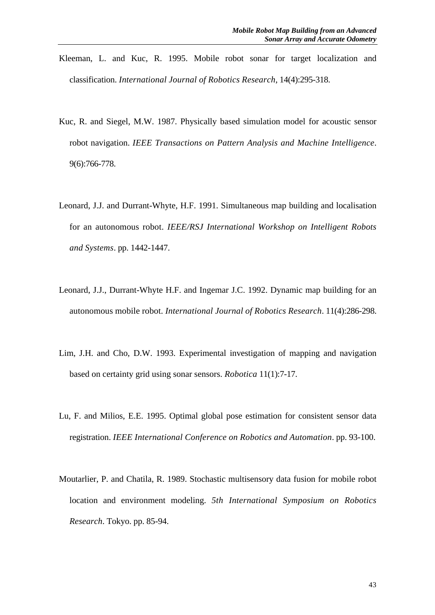- Kleeman, L. and Kuc, R. 1995. Mobile robot sonar for target localization and classification. *International Journal of Robotics Research*, 14(4):295-318.
- Kuc, R. and Siegel, M.W. 1987. Physically based simulation model for acoustic sensor robot navigation. *IEEE Transactions on Pattern Analysis and Machine Intelligence*. 9(6):766-778.
- Leonard, J.J. and Durrant-Whyte, H.F. 1991. Simultaneous map building and localisation for an autonomous robot. *IEEE/RSJ International Workshop on Intelligent Robots and Systems*. pp. 1442-1447.
- Leonard, J.J., Durrant-Whyte H.F. and Ingemar J.C. 1992. Dynamic map building for an autonomous mobile robot. *International Journal of Robotics Research*. 11(4):286-298.
- Lim, J.H. and Cho, D.W. 1993. Experimental investigation of mapping and navigation based on certainty grid using sonar sensors. *Robotica* 11(1):7-17.
- Lu, F. and Milios, E.E. 1995. Optimal global pose estimation for consistent sensor data registration. *IEEE International Conference on Robotics and Automation*. pp. 93-100.
- Moutarlier, P. and Chatila, R. 1989. Stochastic multisensory data fusion for mobile robot location and environment modeling. *5th International Symposium on Robotics Research*. Tokyo. pp. 85-94.